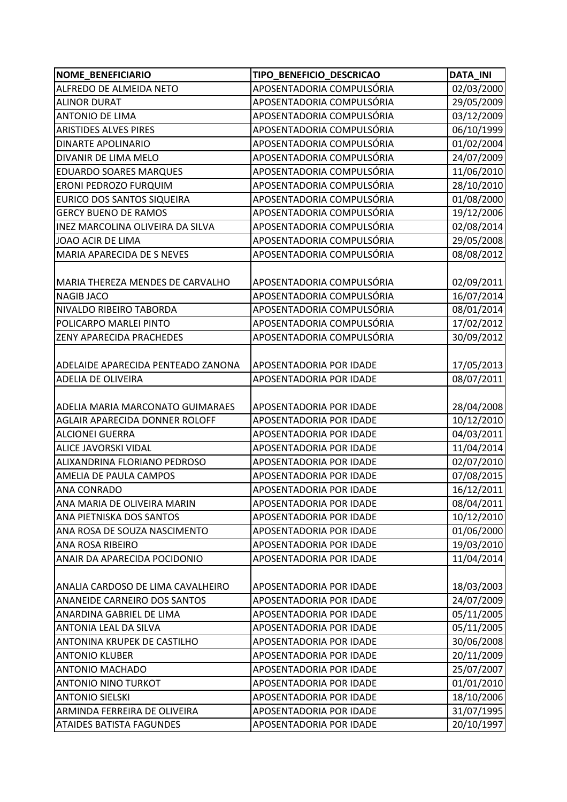| <b>NOME BENEFICIARIO</b>                | TIPO_BENEFICIO_DESCRICAO  | <b>DATA_INI</b> |
|-----------------------------------------|---------------------------|-----------------|
| ALFREDO DE ALMEIDA NETO                 | APOSENTADORIA COMPULSÓRIA | 02/03/2000      |
| <b>ALINOR DURAT</b>                     | APOSENTADORIA COMPULSÓRIA | 29/05/2009      |
| <b>ANTONIO DE LIMA</b>                  | APOSENTADORIA COMPULSÓRIA | 03/12/2009      |
| <b>ARISTIDES ALVES PIRES</b>            | APOSENTADORIA COMPULSÓRIA | 06/10/1999      |
| <b>DINARTE APOLINARIO</b>               | APOSENTADORIA COMPULSÓRIA | 01/02/2004      |
| DIVANIR DE LIMA MELO                    | APOSENTADORIA COMPULSÓRIA | 24/07/2009      |
| <b>EDUARDO SOARES MARQUES</b>           | APOSENTADORIA COMPULSÓRIA | 11/06/2010      |
| ERONI PEDROZO FURQUIM                   | APOSENTADORIA COMPULSÓRIA | 28/10/2010      |
| <b>EURICO DOS SANTOS SIQUEIRA</b>       | APOSENTADORIA COMPULSÓRIA | 01/08/2000      |
| <b>GERCY BUENO DE RAMOS</b>             | APOSENTADORIA COMPULSÓRIA | 19/12/2006      |
| INEZ MARCOLINA OLIVEIRA DA SILVA        | APOSENTADORIA COMPULSÓRIA | 02/08/2014      |
| JOAO ACIR DE LIMA                       | APOSENTADORIA COMPULSÓRIA | 29/05/2008      |
| MARIA APARECIDA DE S NEVES              | APOSENTADORIA COMPULSÓRIA | 08/08/2012      |
|                                         |                           |                 |
| MARIA THEREZA MENDES DE CARVALHO        | APOSENTADORIA COMPULSÓRIA | 02/09/2011      |
| <b>NAGIB JACO</b>                       | APOSENTADORIA COMPULSÓRIA | 16/07/2014      |
| NIVALDO RIBEIRO TABORDA                 | APOSENTADORIA COMPULSÓRIA | 08/01/2014      |
| POLICARPO MARLEI PINTO                  | APOSENTADORIA COMPULSÓRIA | 17/02/2012      |
| <b>ZENY APARECIDA PRACHEDES</b>         | APOSENTADORIA COMPULSÓRIA | 30/09/2012      |
|                                         |                           |                 |
| ADELAIDE APARECIDA PENTEADO ZANONA      | APOSENTADORIA POR IDADE   | 17/05/2013      |
| <b>ADELIA DE OLIVEIRA</b>               | APOSENTADORIA POR IDADE   | 08/07/2011      |
|                                         |                           |                 |
| <b>ADELIA MARIA MARCONATO GUIMARAES</b> | APOSENTADORIA POR IDADE   | 28/04/2008      |
| AGLAIR APARECIDA DONNER ROLOFF          | APOSENTADORIA POR IDADE   | 10/12/2010      |
| <b>ALCIONEI GUERRA</b>                  | APOSENTADORIA POR IDADE   | 04/03/2011      |
| ALICE JAVORSKI VIDAL                    | APOSENTADORIA POR IDADE   | 11/04/2014      |
| ALIXANDRINA FLORIANO PEDROSO            | APOSENTADORIA POR IDADE   | 02/07/2010      |
| AMELIA DE PAULA CAMPOS                  | APOSENTADORIA POR IDADE   | 07/08/2015      |
| <b>ANA CONRADO</b>                      | APOSENTADORIA POR IDADE   | 16/12/2011      |
| ANA MARIA DE OLIVEIRA MARIN             | APOSENTADORIA POR IDADE   | 08/04/2011      |
| ANA PIETNISKA DOS SANTOS                | APOSENTADORIA POR IDADE   | 10/12/2010      |
| ANA ROSA DE SOUZA NASCIMENTO            | APOSENTADORIA POR IDADE   | 01/06/2000      |
| ANA ROSA RIBEIRO                        | APOSENTADORIA POR IDADE   | 19/03/2010      |
| ANAIR DA APARECIDA POCIDONIO            | APOSENTADORIA POR IDADE   | 11/04/2014      |
|                                         |                           |                 |
| ANALIA CARDOSO DE LIMA CAVALHEIRO       | APOSENTADORIA POR IDADE   | 18/03/2003      |
| ANANEIDE CARNEIRO DOS SANTOS            | APOSENTADORIA POR IDADE   | 24/07/2009      |
| ANARDINA GABRIEL DE LIMA                | APOSENTADORIA POR IDADE   | 05/11/2005      |
| ANTONIA LEAL DA SILVA                   | APOSENTADORIA POR IDADE   | 05/11/2005      |
| ANTONINA KRUPEK DE CASTILHO             | APOSENTADORIA POR IDADE   | 30/06/2008      |
| <b>ANTONIO KLUBER</b>                   | APOSENTADORIA POR IDADE   | 20/11/2009      |
| <b>ANTONIO MACHADO</b>                  | APOSENTADORIA POR IDADE   | 25/07/2007      |
| <b>ANTONIO NINO TURKOT</b>              | APOSENTADORIA POR IDADE   | 01/01/2010      |
| <b>ANTONIO SIELSKI</b>                  | APOSENTADORIA POR IDADE   | 18/10/2006      |
| ARMINDA FERREIRA DE OLIVEIRA            | APOSENTADORIA POR IDADE   | 31/07/1995      |
| <b>ATAIDES BATISTA FAGUNDES</b>         | APOSENTADORIA POR IDADE   | 20/10/1997      |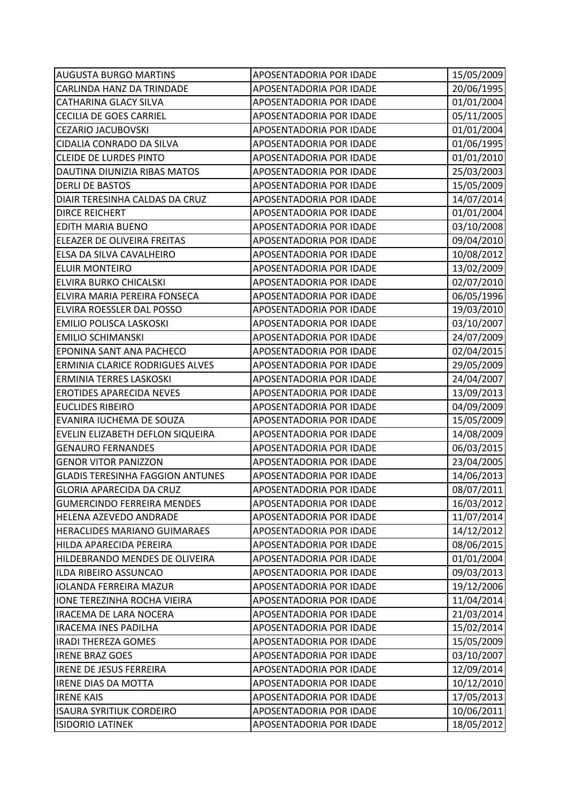| <b>AUGUSTA BURGO MARTINS</b>            | APOSENTADORIA POR IDADE | 15/05/2009 |
|-----------------------------------------|-------------------------|------------|
| CARLINDA HANZ DA TRINDADE               | APOSENTADORIA POR IDADE | 20/06/1995 |
| <b>CATHARINA GLACY SILVA</b>            | APOSENTADORIA POR IDADE | 01/01/2004 |
| <b>CECILIA DE GOES CARRIEL</b>          | APOSENTADORIA POR IDADE | 05/11/2005 |
| <b>CEZARIO JACUBOVSKI</b>               | APOSENTADORIA POR IDADE | 01/01/2004 |
| CIDALIA CONRADO DA SILVA                | APOSENTADORIA POR IDADE | 01/06/1995 |
| <b>CLEIDE DE LURDES PINTO</b>           | APOSENTADORIA POR IDADE | 01/01/2010 |
| DAUTINA DIUNIZIA RIBAS MATOS            | APOSENTADORIA POR IDADE | 25/03/2003 |
| <b>DERLI DE BASTOS</b>                  | APOSENTADORIA POR IDADE | 15/05/2009 |
| DIAIR TERESINHA CALDAS DA CRUZ          | APOSENTADORIA POR IDADE | 14/07/2014 |
| <b>DIRCE REICHERT</b>                   | APOSENTADORIA POR IDADE | 01/01/2004 |
| <b>EDITH MARIA BUENO</b>                | APOSENTADORIA POR IDADE | 03/10/2008 |
| ELEAZER DE OLIVEIRA FREITAS             | APOSENTADORIA POR IDADE | 09/04/2010 |
| ELSA DA SILVA CAVALHEIRO                | APOSENTADORIA POR IDADE | 10/08/2012 |
| <b>ELUIR MONTEIRO</b>                   | APOSENTADORIA POR IDADE | 13/02/2009 |
| ELVIRA BURKO CHICALSKI                  | APOSENTADORIA POR IDADE | 02/07/2010 |
| ELVIRA MARIA PEREIRA FONSECA            | APOSENTADORIA POR IDADE | 06/05/1996 |
| ELVIRA ROESSLER DAL POSSO               | APOSENTADORIA POR IDADE | 19/03/2010 |
| <b>EMILIO POLISCA LASKOSKI</b>          | APOSENTADORIA POR IDADE | 03/10/2007 |
| <b>EMILIO SCHIMANSKI</b>                | APOSENTADORIA POR IDADE | 24/07/2009 |
| EPONINA SANT ANA PACHECO                | APOSENTADORIA POR IDADE | 02/04/2015 |
| ERMINIA CLARICE RODRIGUES ALVES         | APOSENTADORIA POR IDADE | 29/05/2009 |
| ERMINIA TERRES LASKOSKI                 | APOSENTADORIA POR IDADE | 24/04/2007 |
| <b>EROTIDES APARECIDA NEVES</b>         | APOSENTADORIA POR IDADE | 13/09/2013 |
| <b>EUCLIDES RIBEIRO</b>                 | APOSENTADORIA POR IDADE | 04/09/2009 |
| EVANIRA IUCHEMA DE SOUZA                | APOSENTADORIA POR IDADE | 15/05/2009 |
| EVELIN ELIZABETH DEFLON SIQUEIRA        | APOSENTADORIA POR IDADE | 14/08/2009 |
| <b>GENAURO FERNANDES</b>                | APOSENTADORIA POR IDADE | 06/03/2015 |
| <b>GENOR VITOR PANIZZON</b>             | APOSENTADORIA POR IDADE | 23/04/2005 |
| <b>GLADIS TERESINHA FAGGION ANTUNES</b> | APOSENTADORIA POR IDADE | 14/06/2013 |
| <b>GLORIA APARECIDA DA CRUZ</b>         | APOSENTADORIA POR IDADE | 08/07/2011 |
| <b>GUMERCINDO FERREIRA MENDES</b>       | APOSENTADORIA POR IDADE | 16/03/2012 |
| HELENA AZEVEDO ANDRADE                  | APOSENTADORIA POR IDADE | 11/07/2014 |
| HERACLIDES MARIANO GUIMARAES            | APOSENTADORIA POR IDADE | 14/12/2012 |
| HILDA APARECIDA PEREIRA                 | APOSENTADORIA POR IDADE | 08/06/2015 |
| HILDEBRANDO MENDES DE OLIVEIRA          | APOSENTADORIA POR IDADE | 01/01/2004 |
| ILDA RIBEIRO ASSUNCAO                   | APOSENTADORIA POR IDADE | 09/03/2013 |
| <b>IOLANDA FERREIRA MAZUR</b>           | APOSENTADORIA POR IDADE | 19/12/2006 |
| IONE TEREZINHA ROCHA VIEIRA             | APOSENTADORIA POR IDADE | 11/04/2014 |
| <b>IRACEMA DE LARA NOCERA</b>           | APOSENTADORIA POR IDADE | 21/03/2014 |
| <b>IRACEMA INES PADILHA</b>             | APOSENTADORIA POR IDADE | 15/02/2014 |
| <b>IRADI THEREZA GOMES</b>              | APOSENTADORIA POR IDADE | 15/05/2009 |
| <b>IRENE BRAZ GOES</b>                  | APOSENTADORIA POR IDADE | 03/10/2007 |
| <b>IRENE DE JESUS FERREIRA</b>          | APOSENTADORIA POR IDADE | 12/09/2014 |
| <b>IRENE DIAS DA MOTTA</b>              | APOSENTADORIA POR IDADE | 10/12/2010 |
| <b>IRENE KAIS</b>                       | APOSENTADORIA POR IDADE | 17/05/2013 |
| <b>ISAURA SYRITIUK CORDEIRO</b>         | APOSENTADORIA POR IDADE | 10/06/2011 |
| <b>ISIDORIO LATINEK</b>                 | APOSENTADORIA POR IDADE | 18/05/2012 |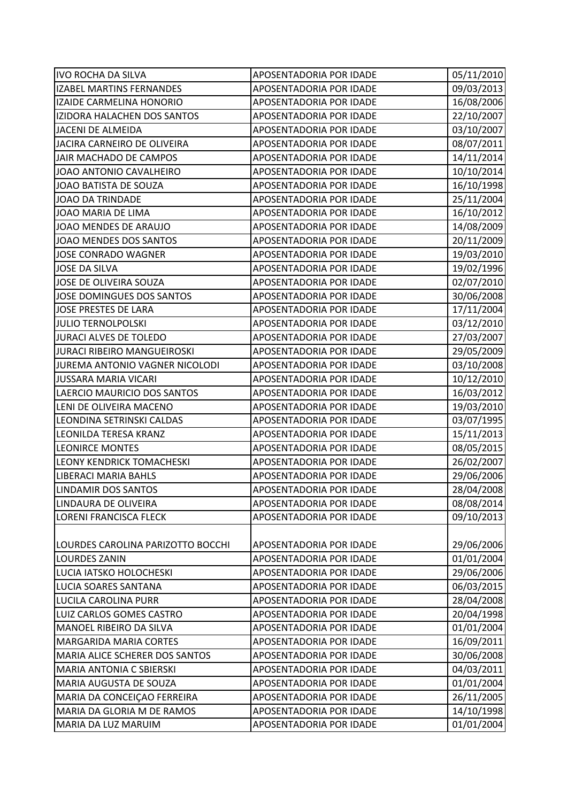| <b>IVO ROCHA DA SILVA</b>         | APOSENTADORIA POR IDADE        | 05/11/2010 |
|-----------------------------------|--------------------------------|------------|
| <b>IZABEL MARTINS FERNANDES</b>   | APOSENTADORIA POR IDADE        | 09/03/2013 |
| <b>IZAIDE CARMELINA HONORIO</b>   | APOSENTADORIA POR IDADE        | 16/08/2006 |
| IZIDORA HALACHEN DOS SANTOS       | APOSENTADORIA POR IDADE        | 22/10/2007 |
| JACENI DE ALMEIDA                 | APOSENTADORIA POR IDADE        | 03/10/2007 |
| JACIRA CARNEIRO DE OLIVEIRA       | APOSENTADORIA POR IDADE        | 08/07/2011 |
| JAIR MACHADO DE CAMPOS            | APOSENTADORIA POR IDADE        | 14/11/2014 |
| JOAO ANTONIO CAVALHEIRO           | APOSENTADORIA POR IDADE        | 10/10/2014 |
| JOAO BATISTA DE SOUZA             | APOSENTADORIA POR IDADE        | 16/10/1998 |
| <b>JOAO DA TRINDADE</b>           | APOSENTADORIA POR IDADE        | 25/11/2004 |
| JOAO MARIA DE LIMA                | APOSENTADORIA POR IDADE        | 16/10/2012 |
| JOAO MENDES DE ARAUJO             | APOSENTADORIA POR IDADE        | 14/08/2009 |
| JOAO MENDES DOS SANTOS            | APOSENTADORIA POR IDADE        | 20/11/2009 |
| <b>JOSE CONRADO WAGNER</b>        | APOSENTADORIA POR IDADE        | 19/03/2010 |
| <b>JOSE DA SILVA</b>              | APOSENTADORIA POR IDADE        | 19/02/1996 |
| JOSE DE OLIVEIRA SOUZA            | APOSENTADORIA POR IDADE        | 02/07/2010 |
| <b>JOSE DOMINGUES DOS SANTOS</b>  | APOSENTADORIA POR IDADE        | 30/06/2008 |
| <b>JOSE PRESTES DE LARA</b>       | APOSENTADORIA POR IDADE        | 17/11/2004 |
| <b>JULIO TERNOLPOLSKI</b>         | APOSENTADORIA POR IDADE        | 03/12/2010 |
| JURACI ALVES DE TOLEDO            | APOSENTADORIA POR IDADE        | 27/03/2007 |
| JURACI RIBEIRO MANGUEIROSKI       | APOSENTADORIA POR IDADE        | 29/05/2009 |
| JUREMA ANTONIO VAGNER NICOLODI    | APOSENTADORIA POR IDADE        | 03/10/2008 |
| <b>JUSSARA MARIA VICARI</b>       | APOSENTADORIA POR IDADE        | 10/12/2010 |
| LAERCIO MAURICIO DOS SANTOS       | APOSENTADORIA POR IDADE        | 16/03/2012 |
| LENI DE OLIVEIRA MACENO           | APOSENTADORIA POR IDADE        | 19/03/2010 |
| LEONDINA SETRINSKI CALDAS         | APOSENTADORIA POR IDADE        | 03/07/1995 |
| LEONILDA TERESA KRANZ             | APOSENTADORIA POR IDADE        | 15/11/2013 |
| <b>LEONIRCE MONTES</b>            | APOSENTADORIA POR IDADE        | 08/05/2015 |
| <b>LEONY KENDRICK TOMACHESKI</b>  | APOSENTADORIA POR IDADE        | 26/02/2007 |
| <b>LIBERACI MARIA BAHLS</b>       | APOSENTADORIA POR IDADE        | 29/06/2006 |
| <b>LINDAMIR DOS SANTOS</b>        | <b>APOSENTADORIA POR IDADE</b> | 28/04/2008 |
| LINDAURA DE OLIVEIRA              | APOSENTADORIA POR IDADE        | 08/08/2014 |
| LORENI FRANCISCA FLECK            | APOSENTADORIA POR IDADE        | 09/10/2013 |
|                                   |                                |            |
| LOURDES CAROLINA PARIZOTTO BOCCHI | APOSENTADORIA POR IDADE        | 29/06/2006 |
| <b>LOURDES ZANIN</b>              | APOSENTADORIA POR IDADE        | 01/01/2004 |
| LUCIA IATSKO HOLOCHESKI           | APOSENTADORIA POR IDADE        | 29/06/2006 |
| LUCIA SOARES SANTANA              | APOSENTADORIA POR IDADE        | 06/03/2015 |
| LUCILA CAROLINA PURR              | APOSENTADORIA POR IDADE        | 28/04/2008 |
| LUIZ CARLOS GOMES CASTRO          | APOSENTADORIA POR IDADE        | 20/04/1998 |
| MANOEL RIBEIRO DA SILVA           | APOSENTADORIA POR IDADE        | 01/01/2004 |
| <b>MARGARIDA MARIA CORTES</b>     | APOSENTADORIA POR IDADE        | 16/09/2011 |
| MARIA ALICE SCHERER DOS SANTOS    | APOSENTADORIA POR IDADE        | 30/06/2008 |
| <b>MARIA ANTONIA C SBIERSKI</b>   | APOSENTADORIA POR IDADE        | 04/03/2011 |
| MARIA AUGUSTA DE SOUZA            | APOSENTADORIA POR IDADE        | 01/01/2004 |
| MARIA DA CONCEIÇÃO FERREIRA       | APOSENTADORIA POR IDADE        | 26/11/2005 |
| MARIA DA GLORIA M DE RAMOS        | APOSENTADORIA POR IDADE        | 14/10/1998 |
| MARIA DA LUZ MARUIM               | APOSENTADORIA POR IDADE        | 01/01/2004 |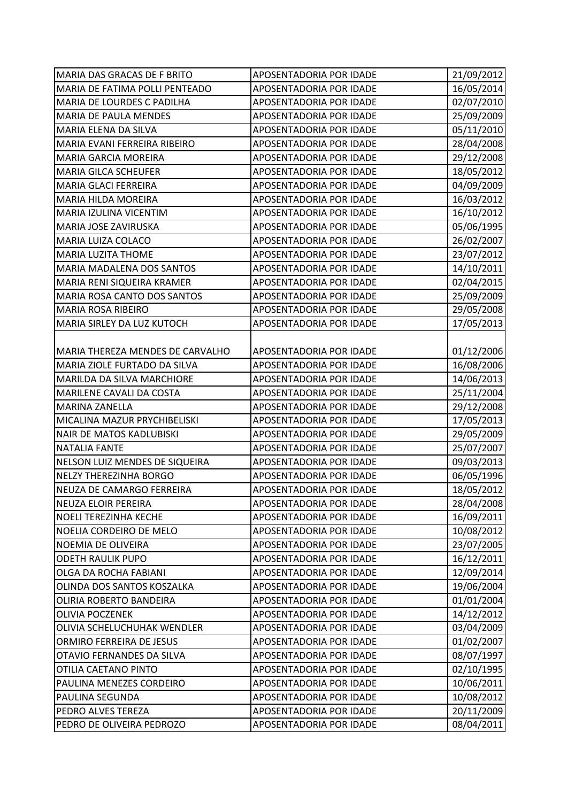| MARIA DAS GRACAS DE F BRITO      | APOSENTADORIA POR IDADE        | 21/09/2012 |
|----------------------------------|--------------------------------|------------|
| MARIA DE FATIMA POLLI PENTEADO   | APOSENTADORIA POR IDADE        | 16/05/2014 |
| MARIA DE LOURDES C PADILHA       | APOSENTADORIA POR IDADE        | 02/07/2010 |
| MARIA DE PAULA MENDES            | APOSENTADORIA POR IDADE        | 25/09/2009 |
| MARIA ELENA DA SILVA             | APOSENTADORIA POR IDADE        | 05/11/2010 |
| MARIA EVANI FERREIRA RIBEIRO     | APOSENTADORIA POR IDADE        | 28/04/2008 |
| MARIA GARCIA MOREIRA             | APOSENTADORIA POR IDADE        | 29/12/2008 |
| <b>MARIA GILCA SCHEUFER</b>      | APOSENTADORIA POR IDADE        | 18/05/2012 |
| <b>MARIA GLACI FERREIRA</b>      | APOSENTADORIA POR IDADE        | 04/09/2009 |
| <b>MARIA HILDA MOREIRA</b>       | APOSENTADORIA POR IDADE        | 16/03/2012 |
| MARIA IZULINA VICENTIM           | APOSENTADORIA POR IDADE        | 16/10/2012 |
| MARIA JOSE ZAVIRUSKA             | APOSENTADORIA POR IDADE        | 05/06/1995 |
| MARIA LUIZA COLACO               | APOSENTADORIA POR IDADE        | 26/02/2007 |
| MARIA LUZITA THOME               | APOSENTADORIA POR IDADE        | 23/07/2012 |
| MARIA MADALENA DOS SANTOS        | APOSENTADORIA POR IDADE        | 14/10/2011 |
| MARIA RENI SIQUEIRA KRAMER       | APOSENTADORIA POR IDADE        | 02/04/2015 |
| MARIA ROSA CANTO DOS SANTOS      | APOSENTADORIA POR IDADE        | 25/09/2009 |
| MARIA ROSA RIBEIRO               | APOSENTADORIA POR IDADE        | 29/05/2008 |
| MARIA SIRLEY DA LUZ KUTOCH       | APOSENTADORIA POR IDADE        | 17/05/2013 |
|                                  |                                |            |
| MARIA THEREZA MENDES DE CARVALHO | APOSENTADORIA POR IDADE        | 01/12/2006 |
| MARIA ZIOLE FURTADO DA SILVA     | APOSENTADORIA POR IDADE        | 16/08/2006 |
| MARILDA DA SILVA MARCHIORE       | APOSENTADORIA POR IDADE        | 14/06/2013 |
| MARILENE CAVALI DA COSTA         | APOSENTADORIA POR IDADE        | 25/11/2004 |
| <b>MARINA ZANELLA</b>            | APOSENTADORIA POR IDADE        | 29/12/2008 |
| MICALINA MAZUR PRYCHIBELISKI     | APOSENTADORIA POR IDADE        | 17/05/2013 |
| <b>NAIR DE MATOS KADLUBISKI</b>  | APOSENTADORIA POR IDADE        | 29/05/2009 |
| <b>NATALIA FANTE</b>             | APOSENTADORIA POR IDADE        | 25/07/2007 |
| NELSON LUIZ MENDES DE SIQUEIRA   | APOSENTADORIA POR IDADE        | 09/03/2013 |
| <b>NELZY THEREZINHA BORGO</b>    | APOSENTADORIA POR IDADE        | 06/05/1996 |
| NEUZA DE CAMARGO FERREIRA        | APOSENTADORIA POR IDADE        | 18/05/2012 |
| NEUZA ELOIR PEREIRA              | <b>APOSENTADORIA POR IDADE</b> | 28/04/2008 |
| NOELI TEREZINHA KECHE            | APOSENTADORIA POR IDADE        | 16/09/2011 |
| NOELIA CORDEIRO DE MELO          | APOSENTADORIA POR IDADE        | 10/08/2012 |
| NOEMIA DE OLIVEIRA               | APOSENTADORIA POR IDADE        | 23/07/2005 |
| <b>ODETH RAULIK PUPO</b>         | APOSENTADORIA POR IDADE        | 16/12/2011 |
| OLGA DA ROCHA FABIANI            | APOSENTADORIA POR IDADE        | 12/09/2014 |
| OLINDA DOS SANTOS KOSZALKA       | APOSENTADORIA POR IDADE        | 19/06/2004 |
| OLIRIA ROBERTO BANDEIRA          | APOSENTADORIA POR IDADE        | 01/01/2004 |
| <b>OLIVIA POCZENEK</b>           | APOSENTADORIA POR IDADE        | 14/12/2012 |
| OLIVIA SCHELUCHUHAK WENDLER      | APOSENTADORIA POR IDADE        | 03/04/2009 |
| ORMIRO FERREIRA DE JESUS         | APOSENTADORIA POR IDADE        | 01/02/2007 |
| OTAVIO FERNANDES DA SILVA        | APOSENTADORIA POR IDADE        | 08/07/1997 |
| OTILIA CAETANO PINTO             | APOSENTADORIA POR IDADE        | 02/10/1995 |
| PAULINA MENEZES CORDEIRO         | APOSENTADORIA POR IDADE        | 10/06/2011 |
| PAULINA SEGUNDA                  | APOSENTADORIA POR IDADE        | 10/08/2012 |
| PEDRO ALVES TEREZA               | APOSENTADORIA POR IDADE        | 20/11/2009 |
| PEDRO DE OLIVEIRA PEDROZO        | APOSENTADORIA POR IDADE        | 08/04/2011 |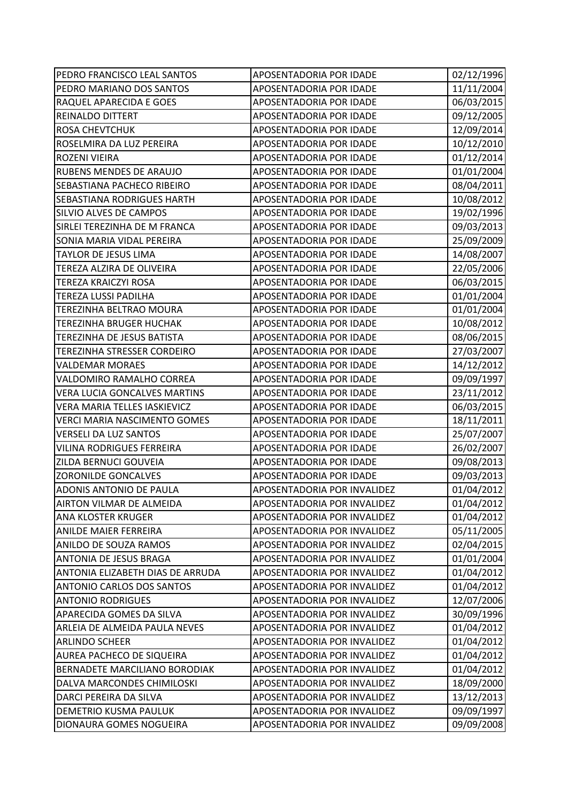| PEDRO FRANCISCO LEAL SANTOS         | APOSENTADORIA POR IDADE     | 02/12/1996 |
|-------------------------------------|-----------------------------|------------|
| PEDRO MARIANO DOS SANTOS            | APOSENTADORIA POR IDADE     | 11/11/2004 |
| RAQUEL APARECIDA E GOES             | APOSENTADORIA POR IDADE     | 06/03/2015 |
| REINALDO DITTERT                    | APOSENTADORIA POR IDADE     | 09/12/2005 |
| <b>ROSA CHEVTCHUK</b>               | APOSENTADORIA POR IDADE     | 12/09/2014 |
| ROSELMIRA DA LUZ PEREIRA            | APOSENTADORIA POR IDADE     | 10/12/2010 |
| ROZENI VIEIRA                       | APOSENTADORIA POR IDADE     | 01/12/2014 |
| RUBENS MENDES DE ARAUJO             | APOSENTADORIA POR IDADE     | 01/01/2004 |
| SEBASTIANA PACHECO RIBEIRO          | APOSENTADORIA POR IDADE     | 08/04/2011 |
| SEBASTIANA RODRIGUES HARTH          | APOSENTADORIA POR IDADE     | 10/08/2012 |
| SILVIO ALVES DE CAMPOS              | APOSENTADORIA POR IDADE     | 19/02/1996 |
| SIRLEI TEREZINHA DE M FRANCA        | APOSENTADORIA POR IDADE     | 09/03/2013 |
| SONIA MARIA VIDAL PEREIRA           | APOSENTADORIA POR IDADE     | 25/09/2009 |
| TAYLOR DE JESUS LIMA                | APOSENTADORIA POR IDADE     | 14/08/2007 |
| TEREZA ALZIRA DE OLIVEIRA           | APOSENTADORIA POR IDADE     | 22/05/2006 |
| <b>TEREZA KRAICZYI ROSA</b>         | APOSENTADORIA POR IDADE     | 06/03/2015 |
| <b>TEREZA LUSSI PADILHA</b>         | APOSENTADORIA POR IDADE     | 01/01/2004 |
| TEREZINHA BELTRAO MOURA             | APOSENTADORIA POR IDADE     | 01/01/2004 |
| <b>TEREZINHA BRUGER HUCHAK</b>      | APOSENTADORIA POR IDADE     | 10/08/2012 |
| TEREZINHA DE JESUS BATISTA          | APOSENTADORIA POR IDADE     | 08/06/2015 |
| TEREZINHA STRESSER CORDEIRO         | APOSENTADORIA POR IDADE     | 27/03/2007 |
| <b>VALDEMAR MORAES</b>              | APOSENTADORIA POR IDADE     | 14/12/2012 |
| VALDOMIRO RAMALHO CORREA            | APOSENTADORIA POR IDADE     | 09/09/1997 |
| <b>VERA LUCIA GONCALVES MARTINS</b> | APOSENTADORIA POR IDADE     | 23/11/2012 |
| <b>VERA MARIA TELLES IASKIEVICZ</b> | APOSENTADORIA POR IDADE     | 06/03/2015 |
| VERCI MARIA NASCIMENTO GOMES        | APOSENTADORIA POR IDADE     | 18/11/2011 |
| <b>VERSELI DA LUZ SANTOS</b>        | APOSENTADORIA POR IDADE     | 25/07/2007 |
| <b>VILINA RODRIGUES FERREIRA</b>    | APOSENTADORIA POR IDADE     | 26/02/2007 |
| ZILDA BERNUCI GOUVEIA               | APOSENTADORIA POR IDADE     | 09/08/2013 |
| <b>ZORONILDE GONCALVES</b>          | APOSENTADORIA POR IDADE     | 09/03/2013 |
| ADONIS ANTONIO DE PAULA             | APOSENTADORIA POR INVALIDEZ | 01/04/2012 |
| AIRTON VILMAR DE ALMEIDA            | APOSENTADORIA POR INVALIDEZ | 01/04/2012 |
| ANA KLOSTER KRUGER                  | APOSENTADORIA POR INVALIDEZ | 01/04/2012 |
| ANILDE MAIER FERREIRA               | APOSENTADORIA POR INVALIDEZ | 05/11/2005 |
| ANILDO DE SOUZA RAMOS               | APOSENTADORIA POR INVALIDEZ | 02/04/2015 |
| ANTONIA DE JESUS BRAGA              | APOSENTADORIA POR INVALIDEZ | 01/01/2004 |
| ANTONIA ELIZABETH DIAS DE ARRUDA    | APOSENTADORIA POR INVALIDEZ | 01/04/2012 |
| <b>ANTONIO CARLOS DOS SANTOS</b>    | APOSENTADORIA POR INVALIDEZ | 01/04/2012 |
| <b>ANTONIO RODRIGUES</b>            | APOSENTADORIA POR INVALIDEZ | 12/07/2006 |
| APARECIDA GOMES DA SILVA            | APOSENTADORIA POR INVALIDEZ | 30/09/1996 |
| ARLEIA DE ALMEIDA PAULA NEVES       | APOSENTADORIA POR INVALIDEZ | 01/04/2012 |
| <b>ARLINDO SCHEER</b>               | APOSENTADORIA POR INVALIDEZ | 01/04/2012 |
| <b>AUREA PACHECO DE SIQUEIRA</b>    | APOSENTADORIA POR INVALIDEZ | 01/04/2012 |
| BERNADETE MARCILIANO BORODIAK       | APOSENTADORIA POR INVALIDEZ | 01/04/2012 |
| DALVA MARCONDES CHIMILOSKI          | APOSENTADORIA POR INVALIDEZ | 18/09/2000 |
| DARCI PEREIRA DA SILVA              | APOSENTADORIA POR INVALIDEZ | 13/12/2013 |
| DEMETRIO KUSMA PAULUK               | APOSENTADORIA POR INVALIDEZ | 09/09/1997 |
| DIONAURA GOMES NOGUEIRA             | APOSENTADORIA POR INVALIDEZ | 09/09/2008 |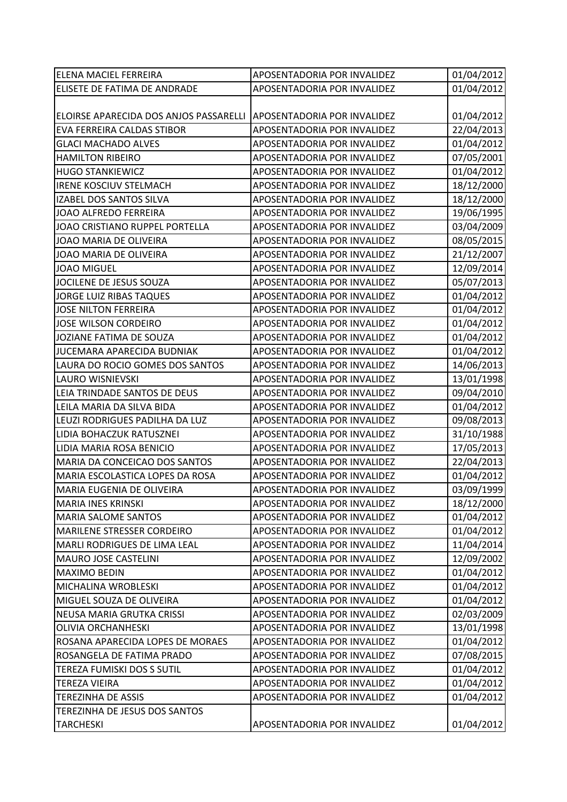| <b>ELENA MACIEL FERREIRA</b>                                       | APOSENTADORIA POR INVALIDEZ | 01/04/2012 |
|--------------------------------------------------------------------|-----------------------------|------------|
| ELISETE DE FATIMA DE ANDRADE                                       | APOSENTADORIA POR INVALIDEZ | 01/04/2012 |
|                                                                    |                             |            |
| ELOIRSE APARECIDA DOS ANJOS PASSARELLI APOSENTADORIA POR INVALIDEZ |                             | 01/04/2012 |
| EVA FERREIRA CALDAS STIBOR                                         | APOSENTADORIA POR INVALIDEZ | 22/04/2013 |
| <b>GLACI MACHADO ALVES</b>                                         | APOSENTADORIA POR INVALIDEZ | 01/04/2012 |
| <b>HAMILTON RIBEIRO</b>                                            | APOSENTADORIA POR INVALIDEZ | 07/05/2001 |
| <b>HUGO STANKIEWICZ</b>                                            | APOSENTADORIA POR INVALIDEZ | 01/04/2012 |
| <b>IRENE KOSCIUV STELMACH</b>                                      | APOSENTADORIA POR INVALIDEZ | 18/12/2000 |
| <b>IZABEL DOS SANTOS SILVA</b>                                     | APOSENTADORIA POR INVALIDEZ | 18/12/2000 |
| JOAO ALFREDO FERREIRA                                              | APOSENTADORIA POR INVALIDEZ | 19/06/1995 |
| JOAO CRISTIANO RUPPEL PORTELLA                                     | APOSENTADORIA POR INVALIDEZ | 03/04/2009 |
| JOAO MARIA DE OLIVEIRA                                             | APOSENTADORIA POR INVALIDEZ | 08/05/2015 |
| JOAO MARIA DE OLIVEIRA                                             | APOSENTADORIA POR INVALIDEZ | 21/12/2007 |
| <b>JOAO MIGUEL</b>                                                 | APOSENTADORIA POR INVALIDEZ | 12/09/2014 |
| JOCILENE DE JESUS SOUZA                                            | APOSENTADORIA POR INVALIDEZ | 05/07/2013 |
| <b>JORGE LUIZ RIBAS TAQUES</b>                                     | APOSENTADORIA POR INVALIDEZ | 01/04/2012 |
| <b>JOSE NILTON FERREIRA</b>                                        | APOSENTADORIA POR INVALIDEZ | 01/04/2012 |
| <b>JOSE WILSON CORDEIRO</b>                                        | APOSENTADORIA POR INVALIDEZ | 01/04/2012 |
| JOZIANE FATIMA DE SOUZA                                            | APOSENTADORIA POR INVALIDEZ | 01/04/2012 |
| JUCEMARA APARECIDA BUDNIAK                                         | APOSENTADORIA POR INVALIDEZ | 01/04/2012 |
| LAURA DO ROCIO GOMES DOS SANTOS                                    | APOSENTADORIA POR INVALIDEZ | 14/06/2013 |
| <b>LAURO WISNIEVSKI</b>                                            | APOSENTADORIA POR INVALIDEZ | 13/01/1998 |
| LEIA TRINDADE SANTOS DE DEUS                                       | APOSENTADORIA POR INVALIDEZ | 09/04/2010 |
| LEILA MARIA DA SILVA BIDA                                          | APOSENTADORIA POR INVALIDEZ | 01/04/2012 |
| LEUZI RODRIGUES PADILHA DA LUZ                                     | APOSENTADORIA POR INVALIDEZ | 09/08/2013 |
| LIDIA BOHACZUK RATUSZNEI                                           | APOSENTADORIA POR INVALIDEZ | 31/10/1988 |
| LIDIA MARIA ROSA BENICIO                                           | APOSENTADORIA POR INVALIDEZ | 17/05/2013 |
| MARIA DA CONCEICAO DOS SANTOS                                      | APOSENTADORIA POR INVALIDEZ | 22/04/2013 |
| MARIA ESCOLASTICA LOPES DA ROSA                                    | APOSENTADORIA POR INVALIDEZ | 01/04/2012 |
| MARIA EUGENIA DE OLIVEIRA                                          | APOSENTADORIA POR INVALIDEZ | 03/09/1999 |
| <b>MARIA INES KRINSKI</b>                                          | APOSENTADORIA POR INVALIDEZ | 18/12/2000 |
| <b>MARIA SALOME SANTOS</b>                                         | APOSENTADORIA POR INVALIDEZ | 01/04/2012 |
| <b>MARILENE STRESSER CORDEIRO</b>                                  | APOSENTADORIA POR INVALIDEZ | 01/04/2012 |
| MARLI RODRIGUES DE LIMA LEAL                                       | APOSENTADORIA POR INVALIDEZ | 11/04/2014 |
| <b>MAURO JOSE CASTELINI</b>                                        | APOSENTADORIA POR INVALIDEZ | 12/09/2002 |
| <b>MAXIMO BEDIN</b>                                                | APOSENTADORIA POR INVALIDEZ | 01/04/2012 |
| MICHALINA WROBLESKI                                                | APOSENTADORIA POR INVALIDEZ | 01/04/2012 |
| MIGUEL SOUZA DE OLIVEIRA                                           | APOSENTADORIA POR INVALIDEZ | 01/04/2012 |
| NEUSA MARIA GRUTKA CRISSI                                          | APOSENTADORIA POR INVALIDEZ | 02/03/2009 |
| <b>OLIVIA ORCHANHESKI</b>                                          | APOSENTADORIA POR INVALIDEZ | 13/01/1998 |
| ROSANA APARECIDA LOPES DE MORAES                                   | APOSENTADORIA POR INVALIDEZ | 01/04/2012 |
| ROSANGELA DE FATIMA PRADO                                          | APOSENTADORIA POR INVALIDEZ | 07/08/2015 |
| TEREZA FUMISKI DOS S SUTIL                                         | APOSENTADORIA POR INVALIDEZ | 01/04/2012 |
| <b>TEREZA VIEIRA</b>                                               | APOSENTADORIA POR INVALIDEZ | 01/04/2012 |
| <b>TEREZINHA DE ASSIS</b>                                          | APOSENTADORIA POR INVALIDEZ | 01/04/2012 |
| TEREZINHA DE JESUS DOS SANTOS                                      |                             |            |
| <b>TARCHESKI</b>                                                   | APOSENTADORIA POR INVALIDEZ | 01/04/2012 |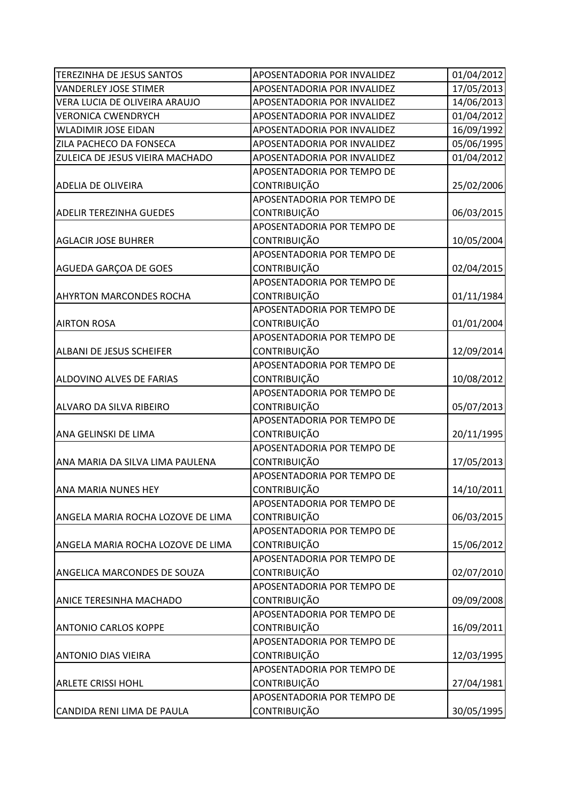| <b>TEREZINHA DE JESUS SANTOS</b>  | APOSENTADORIA POR INVALIDEZ | 01/04/2012 |
|-----------------------------------|-----------------------------|------------|
| <b>VANDERLEY JOSE STIMER</b>      | APOSENTADORIA POR INVALIDEZ | 17/05/2013 |
| VERA LUCIA DE OLIVEIRA ARAUJO     | APOSENTADORIA POR INVALIDEZ | 14/06/2013 |
| <b>VERONICA CWENDRYCH</b>         | APOSENTADORIA POR INVALIDEZ | 01/04/2012 |
| <b>WLADIMIR JOSE EIDAN</b>        | APOSENTADORIA POR INVALIDEZ | 16/09/1992 |
| ZILA PACHECO DA FONSECA           | APOSENTADORIA POR INVALIDEZ | 05/06/1995 |
| ZULEICA DE JESUS VIEIRA MACHADO   | APOSENTADORIA POR INVALIDEZ | 01/04/2012 |
|                                   | APOSENTADORIA POR TEMPO DE  |            |
| <b>ADELIA DE OLIVEIRA</b>         | <b>CONTRIBUIÇÃO</b>         | 25/02/2006 |
|                                   | APOSENTADORIA POR TEMPO DE  |            |
| <b>ADELIR TEREZINHA GUEDES</b>    | CONTRIBUIÇÃO                | 06/03/2015 |
|                                   | APOSENTADORIA POR TEMPO DE  |            |
| <b>AGLACIR JOSE BUHRER</b>        | <b>CONTRIBUIÇÃO</b>         | 10/05/2004 |
|                                   | APOSENTADORIA POR TEMPO DE  |            |
| AGUEDA GARÇOA DE GOES             | <b>CONTRIBUIÇÃO</b>         | 02/04/2015 |
|                                   | APOSENTADORIA POR TEMPO DE  |            |
| <b>AHYRTON MARCONDES ROCHA</b>    | <b>CONTRIBUIÇÃO</b>         | 01/11/1984 |
|                                   | APOSENTADORIA POR TEMPO DE  |            |
| <b>AIRTON ROSA</b>                | <b>CONTRIBUIÇÃO</b>         | 01/01/2004 |
|                                   | APOSENTADORIA POR TEMPO DE  |            |
| ALBANI DE JESUS SCHEIFER          | <b>CONTRIBUIÇÃO</b>         | 12/09/2014 |
|                                   | APOSENTADORIA POR TEMPO DE  |            |
| ALDOVINO ALVES DE FARIAS          | <b>CONTRIBUIÇÃO</b>         | 10/08/2012 |
|                                   | APOSENTADORIA POR TEMPO DE  |            |
| ALVARO DA SILVA RIBEIRO           | <b>CONTRIBUIÇÃO</b>         | 05/07/2013 |
|                                   | APOSENTADORIA POR TEMPO DE  |            |
| ANA GELINSKI DE LIMA              | <b>CONTRIBUIÇÃO</b>         | 20/11/1995 |
|                                   | APOSENTADORIA POR TEMPO DE  |            |
| ANA MARIA DA SILVA LIMA PAULENA   | <b>CONTRIBUIÇÃO</b>         | 17/05/2013 |
|                                   | APOSENTADORIA POR TEMPO DE  |            |
| ANA MARIA NUNES HEY               | <b>CONTRIBUIÇÃO</b>         | 14/10/2011 |
|                                   | APOSENTADORIA POR TEMPO DE  |            |
| ANGELA MARIA ROCHA LOZOVE DE LIMA | <b>CONTRIBUIÇÃO</b>         | 06/03/2015 |
|                                   | APOSENTADORIA POR TEMPO DE  |            |
| ANGELA MARIA ROCHA LOZOVE DE LIMA | <b>CONTRIBUIÇÃO</b>         | 15/06/2012 |
|                                   | APOSENTADORIA POR TEMPO DE  |            |
| ANGELICA MARCONDES DE SOUZA       | <b>CONTRIBUIÇÃO</b>         | 02/07/2010 |
|                                   | APOSENTADORIA POR TEMPO DE  |            |
| ANICE TERESINHA MACHADO           | CONTRIBUIÇÃO                | 09/09/2008 |
|                                   | APOSENTADORIA POR TEMPO DE  |            |
| <b>ANTONIO CARLOS KOPPE</b>       | <b>CONTRIBUIÇÃO</b>         | 16/09/2011 |
|                                   | APOSENTADORIA POR TEMPO DE  |            |
| <b>ANTONIO DIAS VIEIRA</b>        | <b>CONTRIBUIÇÃO</b>         | 12/03/1995 |
|                                   | APOSENTADORIA POR TEMPO DE  |            |
| <b>ARLETE CRISSI HOHL</b>         | <b>CONTRIBUIÇÃO</b>         | 27/04/1981 |
|                                   | APOSENTADORIA POR TEMPO DE  |            |
| CANDIDA RENI LIMA DE PAULA        | CONTRIBUIÇÃO                | 30/05/1995 |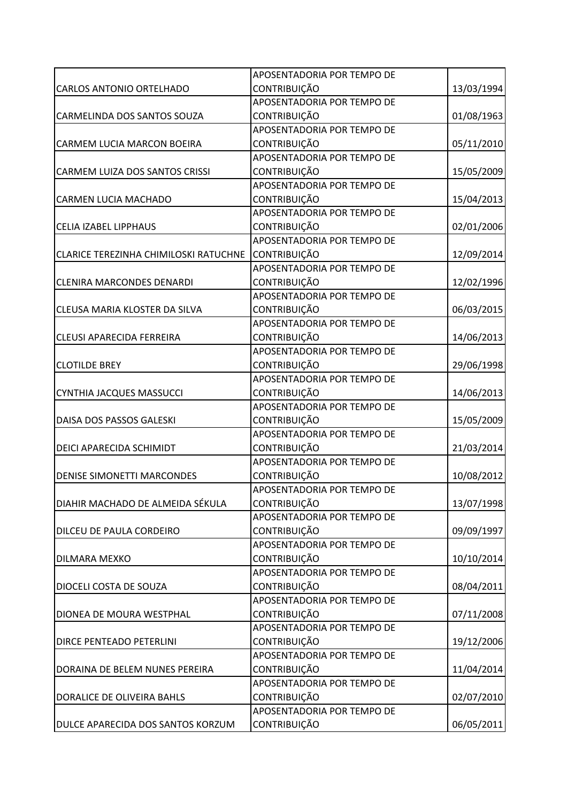|                                       | APOSENTADORIA POR TEMPO DE |            |
|---------------------------------------|----------------------------|------------|
| <b>CARLOS ANTONIO ORTELHADO</b>       | CONTRIBUIÇÃO               | 13/03/1994 |
|                                       | APOSENTADORIA POR TEMPO DE |            |
| CARMELINDA DOS SANTOS SOUZA           | <b>CONTRIBUIÇÃO</b>        | 01/08/1963 |
|                                       | APOSENTADORIA POR TEMPO DE |            |
| CARMEM LUCIA MARCON BOEIRA            | CONTRIBUIÇÃO               | 05/11/2010 |
|                                       | APOSENTADORIA POR TEMPO DE |            |
| <b>CARMEM LUIZA DOS SANTOS CRISSI</b> | CONTRIBUIÇÃO               | 15/05/2009 |
|                                       | APOSENTADORIA POR TEMPO DE |            |
| <b>CARMEN LUCIA MACHADO</b>           | CONTRIBUIÇÃO               | 15/04/2013 |
|                                       | APOSENTADORIA POR TEMPO DE |            |
| <b>CELIA IZABEL LIPPHAUS</b>          | CONTRIBUIÇÃO               | 02/01/2006 |
|                                       | APOSENTADORIA POR TEMPO DE |            |
| CLARICE TEREZINHA CHIMILOSKI RATUCHNE | CONTRIBUIÇÃO               | 12/09/2014 |
|                                       | APOSENTADORIA POR TEMPO DE |            |
| <b>CLENIRA MARCONDES DENARDI</b>      | CONTRIBUIÇÃO               | 12/02/1996 |
|                                       | APOSENTADORIA POR TEMPO DE |            |
| CLEUSA MARIA KLOSTER DA SILVA         | <b>CONTRIBUIÇÃO</b>        | 06/03/2015 |
|                                       | APOSENTADORIA POR TEMPO DE |            |
| <b>CLEUSI APARECIDA FERREIRA</b>      | CONTRIBUIÇÃO               | 14/06/2013 |
|                                       | APOSENTADORIA POR TEMPO DE |            |
| <b>CLOTILDE BREY</b>                  | CONTRIBUIÇÃO               | 29/06/1998 |
|                                       | APOSENTADORIA POR TEMPO DE |            |
| CYNTHIA JACQUES MASSUCCI              | <b>CONTRIBUIÇÃO</b>        | 14/06/2013 |
|                                       | APOSENTADORIA POR TEMPO DE |            |
| DAISA DOS PASSOS GALESKI              | CONTRIBUIÇÃO               | 15/05/2009 |
|                                       | APOSENTADORIA POR TEMPO DE |            |
| DEICI APARECIDA SCHIMIDT              | <b>CONTRIBUIÇÃO</b>        | 21/03/2014 |
|                                       | APOSENTADORIA POR TEMPO DE |            |
| <b>DENISE SIMONETTI MARCONDES</b>     | <b>CONTRIBUIÇÃO</b>        | 10/08/2012 |
|                                       | APOSENTADORIA POR TEMPO DE |            |
| DIAHIR MACHADO DE ALMEIDA SÉKULA      | <b>CONTRIBUIÇÃO</b>        | 13/07/1998 |
|                                       | APOSENTADORIA POR TEMPO DE |            |
| DILCEU DE PAULA CORDEIRO              | <b>CONTRIBUIÇÃO</b>        | 09/09/1997 |
|                                       | APOSENTADORIA POR TEMPO DE |            |
| <b>DILMARA MEXKO</b>                  | CONTRIBUIÇÃO               | 10/10/2014 |
|                                       | APOSENTADORIA POR TEMPO DE |            |
| DIOCELI COSTA DE SOUZA                | CONTRIBUIÇÃO               | 08/04/2011 |
|                                       | APOSENTADORIA POR TEMPO DE |            |
| DIONEA DE MOURA WESTPHAL              | CONTRIBUIÇÃO               | 07/11/2008 |
|                                       | APOSENTADORIA POR TEMPO DE |            |
| <b>DIRCE PENTEADO PETERLINI</b>       | CONTRIBUIÇÃO               | 19/12/2006 |
|                                       | APOSENTADORIA POR TEMPO DE |            |
| DORAINA DE BELEM NUNES PEREIRA        | CONTRIBUIÇÃO               | 11/04/2014 |
|                                       | APOSENTADORIA POR TEMPO DE |            |
| DORALICE DE OLIVEIRA BAHLS            | CONTRIBUIÇÃO               | 02/07/2010 |
|                                       | APOSENTADORIA POR TEMPO DE |            |
| DULCE APARECIDA DOS SANTOS KORZUM     | CONTRIBUIÇÃO               | 06/05/2011 |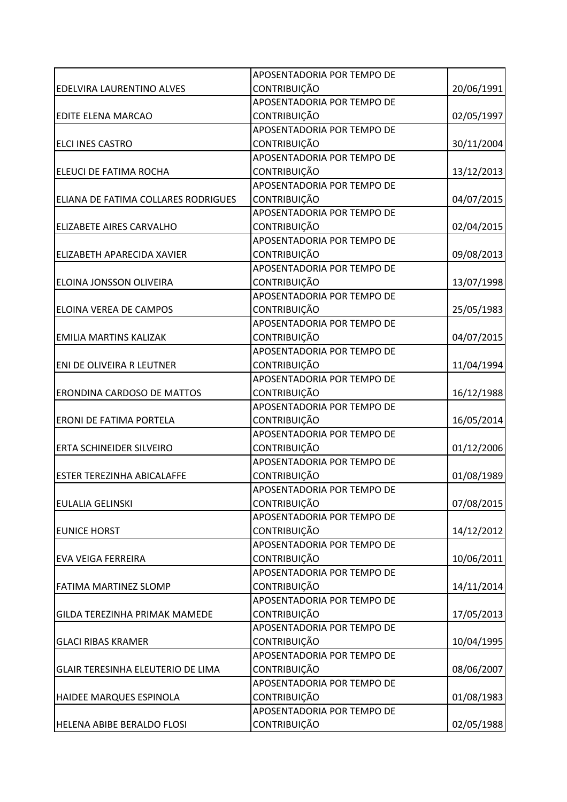|                                          | APOSENTADORIA POR TEMPO DE |            |
|------------------------------------------|----------------------------|------------|
| EDELVIRA LAURENTINO ALVES                | <b>CONTRIBUIÇÃO</b>        | 20/06/1991 |
|                                          | APOSENTADORIA POR TEMPO DE |            |
| EDITE ELENA MARCAO                       | <b>CONTRIBUIÇÃO</b>        | 02/05/1997 |
|                                          | APOSENTADORIA POR TEMPO DE |            |
| ELCI INES CASTRO                         | <b>CONTRIBUIÇÃO</b>        | 30/11/2004 |
|                                          | APOSENTADORIA POR TEMPO DE |            |
| ELEUCI DE FATIMA ROCHA                   | <b>CONTRIBUIÇÃO</b>        | 13/12/2013 |
|                                          | APOSENTADORIA POR TEMPO DE |            |
| ELIANA DE FATIMA COLLARES RODRIGUES      | <b>CONTRIBUIÇÃO</b>        | 04/07/2015 |
|                                          | APOSENTADORIA POR TEMPO DE |            |
| ELIZABETE AIRES CARVALHO                 | CONTRIBUIÇÃO               | 02/04/2015 |
|                                          | APOSENTADORIA POR TEMPO DE |            |
| ELIZABETH APARECIDA XAVIER               | <b>CONTRIBUIÇÃO</b>        | 09/08/2013 |
|                                          | APOSENTADORIA POR TEMPO DE |            |
| ELOINA JONSSON OLIVEIRA                  | CONTRIBUIÇÃO               | 13/07/1998 |
|                                          | APOSENTADORIA POR TEMPO DE |            |
| <b>ELOINA VEREA DE CAMPOS</b>            | <b>CONTRIBUIÇÃO</b>        | 25/05/1983 |
|                                          | APOSENTADORIA POR TEMPO DE |            |
| <b>EMILIA MARTINS KALIZAK</b>            | <b>CONTRIBUIÇÃO</b>        | 04/07/2015 |
|                                          | APOSENTADORIA POR TEMPO DE |            |
| ENI DE OLIVEIRA R LEUTNER                | <b>CONTRIBUIÇÃO</b>        | 11/04/1994 |
|                                          | APOSENTADORIA POR TEMPO DE |            |
| ERONDINA CARDOSO DE MATTOS               | <b>CONTRIBUIÇÃO</b>        | 16/12/1988 |
|                                          | APOSENTADORIA POR TEMPO DE |            |
| <b>ERONI DE FATIMA PORTELA</b>           | CONTRIBUIÇÃO               | 16/05/2014 |
|                                          | APOSENTADORIA POR TEMPO DE |            |
| <b>ERTA SCHINEIDER SILVEIRO</b>          | <b>CONTRIBUIÇÃO</b>        | 01/12/2006 |
|                                          | APOSENTADORIA POR TEMPO DE |            |
| <b>ESTER TEREZINHA ABICALAFFE</b>        | <b>CONTRIBUIÇÃO</b>        | 01/08/1989 |
|                                          | APOSENTADORIA POR TEMPO DE |            |
| <b>EULALIA GELINSKI</b>                  | <b>CONTRIBUIÇÃO</b>        | 07/08/2015 |
|                                          | APOSENTADORIA POR TEMPO DE |            |
| <b>EUNICE HORST</b>                      | <b>CONTRIBUIÇÃO</b>        | 14/12/2012 |
|                                          | APOSENTADORIA POR TEMPO DE |            |
| <b>EVA VEIGA FERREIRA</b>                | <b>CONTRIBUIÇÃO</b>        | 10/06/2011 |
|                                          | APOSENTADORIA POR TEMPO DE |            |
| <b>FATIMA MARTINEZ SLOMP</b>             | CONTRIBUIÇÃO               | 14/11/2014 |
|                                          | APOSENTADORIA POR TEMPO DE |            |
| <b>GILDA TEREZINHA PRIMAK MAMEDE</b>     | <b>CONTRIBUIÇÃO</b>        | 17/05/2013 |
|                                          | APOSENTADORIA POR TEMPO DE |            |
| <b>GLACI RIBAS KRAMER</b>                | <b>CONTRIBUIÇÃO</b>        | 10/04/1995 |
|                                          | APOSENTADORIA POR TEMPO DE |            |
| <b>GLAIR TERESINHA ELEUTERIO DE LIMA</b> | <b>CONTRIBUIÇÃO</b>        | 08/06/2007 |
|                                          | APOSENTADORIA POR TEMPO DE |            |
| HAIDEE MARQUES ESPINOLA                  | <b>CONTRIBUIÇÃO</b>        | 01/08/1983 |
|                                          | APOSENTADORIA POR TEMPO DE |            |
| HELENA ABIBE BERALDO FLOSI               | CONTRIBUIÇÃO               | 02/05/1988 |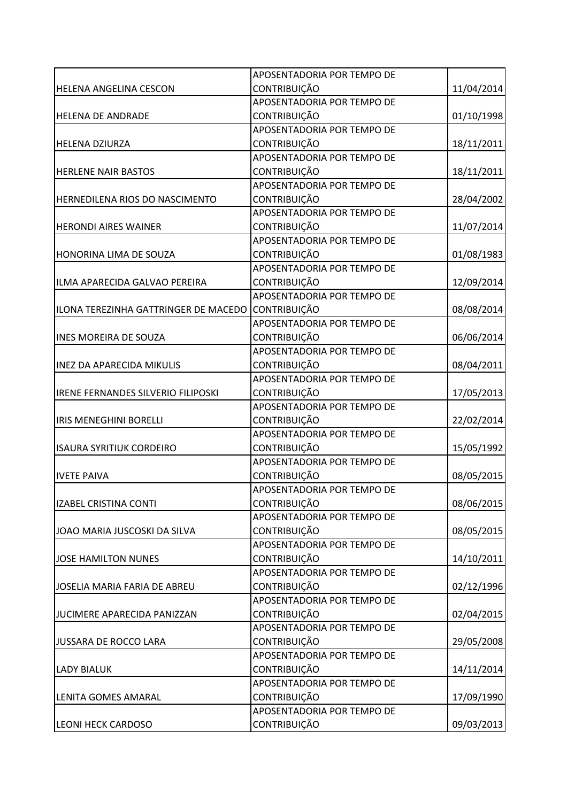|                                           | APOSENTADORIA POR TEMPO DE |            |
|-------------------------------------------|----------------------------|------------|
| <b>HELENA ANGELINA CESCON</b>             | <b>CONTRIBUIÇÃO</b>        | 11/04/2014 |
|                                           | APOSENTADORIA POR TEMPO DE |            |
| <b>HELENA DE ANDRADE</b>                  | CONTRIBUIÇÃO               | 01/10/1998 |
|                                           | APOSENTADORIA POR TEMPO DE |            |
| <b>HELENA DZIURZA</b>                     | <b>CONTRIBUIÇÃO</b>        | 18/11/2011 |
|                                           | APOSENTADORIA POR TEMPO DE |            |
| <b>HERLENE NAIR BASTOS</b>                | CONTRIBUIÇÃO               | 18/11/2011 |
|                                           | APOSENTADORIA POR TEMPO DE |            |
| HERNEDILENA RIOS DO NASCIMENTO            | CONTRIBUIÇÃO               | 28/04/2002 |
|                                           | APOSENTADORIA POR TEMPO DE |            |
| <b>HERONDI AIRES WAINER</b>               | CONTRIBUIÇÃO               | 11/07/2014 |
|                                           | APOSENTADORIA POR TEMPO DE |            |
| HONORINA LIMA DE SOUZA                    | <b>CONTRIBUIÇÃO</b>        | 01/08/1983 |
|                                           | APOSENTADORIA POR TEMPO DE |            |
| ILMA APARECIDA GALVAO PEREIRA             | CONTRIBUIÇÃO               | 12/09/2014 |
|                                           | APOSENTADORIA POR TEMPO DE |            |
| ILONA TEREZINHA GATTRINGER DE MACEDO      | <b>CONTRIBUIÇÃO</b>        | 08/08/2014 |
|                                           | APOSENTADORIA POR TEMPO DE |            |
| <b>INES MOREIRA DE SOUZA</b>              | <b>CONTRIBUIÇÃO</b>        | 06/06/2014 |
|                                           | APOSENTADORIA POR TEMPO DE |            |
| <b>INEZ DA APARECIDA MIKULIS</b>          | <b>CONTRIBUIÇÃO</b>        | 08/04/2011 |
|                                           | APOSENTADORIA POR TEMPO DE |            |
| <b>IRENE FERNANDES SILVERIO FILIPOSKI</b> | CONTRIBUIÇÃO               | 17/05/2013 |
|                                           | APOSENTADORIA POR TEMPO DE |            |
| <b>IRIS MENEGHINI BORELLI</b>             | CONTRIBUIÇÃO               | 22/02/2014 |
|                                           | APOSENTADORIA POR TEMPO DE |            |
| <b>ISAURA SYRITIUK CORDEIRO</b>           | CONTRIBUIÇÃO               | 15/05/1992 |
|                                           | APOSENTADORIA POR TEMPO DE |            |
| <b>IVETE PAIVA</b>                        | CONTRIBUIÇÃO               | 08/05/2015 |
|                                           | APOSENTADORIA POR TEMPO DE |            |
| <b>IZABEL CRISTINA CONTI</b>              | <b>CONTRIBUIÇÃO</b>        | 08/06/2015 |
|                                           | APOSENTADORIA POR TEMPO DE |            |
| JOAO MARIA JUSCOSKI DA SILVA              | <b>CONTRIBUIÇÃO</b>        | 08/05/2015 |
|                                           | APOSENTADORIA POR TEMPO DE |            |
| <b>JOSE HAMILTON NUNES</b>                | <b>CONTRIBUIÇÃO</b>        | 14/10/2011 |
|                                           | APOSENTADORIA POR TEMPO DE |            |
| JOSELIA MARIA FARIA DE ABREU              | CONTRIBUIÇÃO               | 02/12/1996 |
|                                           | APOSENTADORIA POR TEMPO DE |            |
| JUCIMERE APARECIDA PANIZZAN               | <b>CONTRIBUIÇÃO</b>        | 02/04/2015 |
|                                           | APOSENTADORIA POR TEMPO DE |            |
| JUSSARA DE ROCCO LARA                     | CONTRIBUIÇÃO               | 29/05/2008 |
|                                           | APOSENTADORIA POR TEMPO DE |            |
| <b>LADY BIALUK</b>                        | <b>CONTRIBUIÇÃO</b>        | 14/11/2014 |
|                                           | APOSENTADORIA POR TEMPO DE |            |
| LENITA GOMES AMARAL                       | <b>CONTRIBUIÇÃO</b>        | 17/09/1990 |
|                                           | APOSENTADORIA POR TEMPO DE |            |
| <b>LEONI HECK CARDOSO</b>                 | CONTRIBUIÇÃO               | 09/03/2013 |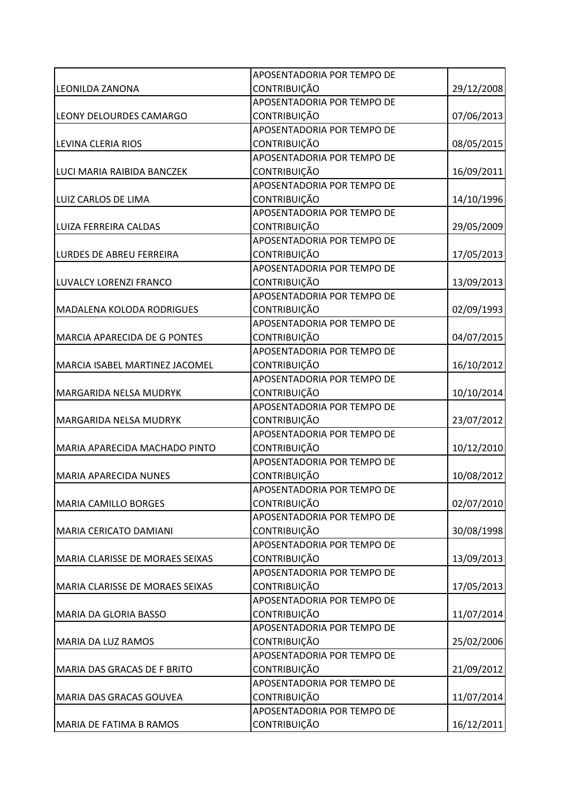|                                     | APOSENTADORIA POR TEMPO DE |            |
|-------------------------------------|----------------------------|------------|
| <b>LEONILDA ZANONA</b>              | <b>CONTRIBUIÇÃO</b>        | 29/12/2008 |
|                                     | APOSENTADORIA POR TEMPO DE |            |
| LEONY DELOURDES CAMARGO             | CONTRIBUIÇÃO               | 07/06/2013 |
|                                     | APOSENTADORIA POR TEMPO DE |            |
| LEVINA CLERIA RIOS                  | <b>CONTRIBUIÇÃO</b>        | 08/05/2015 |
|                                     | APOSENTADORIA POR TEMPO DE |            |
| LUCI MARIA RAIBIDA BANCZEK          | <b>CONTRIBUIÇÃO</b>        | 16/09/2011 |
|                                     | APOSENTADORIA POR TEMPO DE |            |
| LUIZ CARLOS DE LIMA                 | <b>CONTRIBUIÇÃO</b>        | 14/10/1996 |
|                                     | APOSENTADORIA POR TEMPO DE |            |
| LUIZA FERREIRA CALDAS               | CONTRIBUIÇÃO               | 29/05/2009 |
|                                     | APOSENTADORIA POR TEMPO DE |            |
| LURDES DE ABREU FERREIRA            | <b>CONTRIBUIÇÃO</b>        | 17/05/2013 |
|                                     | APOSENTADORIA POR TEMPO DE |            |
| LUVALCY LORENZI FRANCO              | CONTRIBUIÇÃO               | 13/09/2013 |
|                                     | APOSENTADORIA POR TEMPO DE |            |
| <b>MADALENA KOLODA RODRIGUES</b>    | <b>CONTRIBUIÇÃO</b>        | 02/09/1993 |
|                                     | APOSENTADORIA POR TEMPO DE |            |
| <b>MARCIA APARECIDA DE G PONTES</b> | <b>CONTRIBUIÇÃO</b>        | 04/07/2015 |
|                                     | APOSENTADORIA POR TEMPO DE |            |
| MARCIA ISABEL MARTINEZ JACOMEL      | <b>CONTRIBUIÇÃO</b>        | 16/10/2012 |
|                                     | APOSENTADORIA POR TEMPO DE |            |
| MARGARIDA NELSA MUDRYK              | CONTRIBUIÇÃO               | 10/10/2014 |
|                                     | APOSENTADORIA POR TEMPO DE |            |
| MARGARIDA NELSA MUDRYK              | CONTRIBUIÇÃO               | 23/07/2012 |
|                                     | APOSENTADORIA POR TEMPO DE |            |
| MARIA APARECIDA MACHADO PINTO       | <b>CONTRIBUIÇÃO</b>        | 10/12/2010 |
|                                     | APOSENTADORIA POR TEMPO DE |            |
| <b>MARIA APARECIDA NUNES</b>        | <b>CONTRIBUIÇÃO</b>        | 10/08/2012 |
|                                     | APOSENTADORIA POR TEMPO DE |            |
| <b>MARIA CAMILLO BORGES</b>         | <b>CONTRIBUIÇÃO</b>        | 02/07/2010 |
|                                     | APOSENTADORIA POR TEMPO DE |            |
| MARIA CERICATO DAMIANI              | <b>CONTRIBUIÇÃO</b>        | 30/08/1998 |
|                                     | APOSENTADORIA POR TEMPO DE |            |
| MARIA CLARISSE DE MORAES SEIXAS     | <b>CONTRIBUIÇÃO</b>        | 13/09/2013 |
|                                     | APOSENTADORIA POR TEMPO DE |            |
| MARIA CLARISSE DE MORAES SEIXAS     | CONTRIBUIÇÃO               | 17/05/2013 |
|                                     | APOSENTADORIA POR TEMPO DE |            |
| <b>MARIA DA GLORIA BASSO</b>        | <b>CONTRIBUIÇÃO</b>        | 11/07/2014 |
|                                     | APOSENTADORIA POR TEMPO DE |            |
| MARIA DA LUZ RAMOS                  | CONTRIBUIÇÃO               | 25/02/2006 |
|                                     | APOSENTADORIA POR TEMPO DE |            |
| MARIA DAS GRACAS DE F BRITO         | <b>CONTRIBUIÇÃO</b>        | 21/09/2012 |
|                                     | APOSENTADORIA POR TEMPO DE |            |
| MARIA DAS GRACAS GOUVEA             | <b>CONTRIBUIÇÃO</b>        | 11/07/2014 |
|                                     | APOSENTADORIA POR TEMPO DE |            |
| MARIA DE FATIMA B RAMOS             | CONTRIBUIÇÃO               | 16/12/2011 |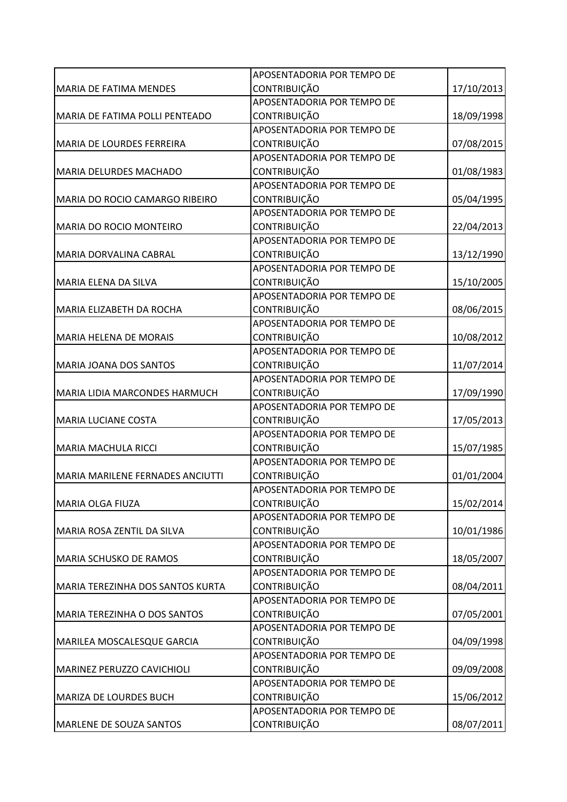|                                  | APOSENTADORIA POR TEMPO DE |            |
|----------------------------------|----------------------------|------------|
| <b>MARIA DE FATIMA MENDES</b>    | CONTRIBUIÇÃO               | 17/10/2013 |
|                                  | APOSENTADORIA POR TEMPO DE |            |
| MARIA DE FATIMA POLLI PENTEADO   | <b>CONTRIBUIÇÃO</b>        | 18/09/1998 |
|                                  | APOSENTADORIA POR TEMPO DE |            |
| MARIA DE LOURDES FERREIRA        | CONTRIBUIÇÃO               | 07/08/2015 |
|                                  | APOSENTADORIA POR TEMPO DE |            |
| <b>MARIA DELURDES MACHADO</b>    | CONTRIBUIÇÃO               | 01/08/1983 |
|                                  | APOSENTADORIA POR TEMPO DE |            |
| MARIA DO ROCIO CAMARGO RIBEIRO   | CONTRIBUIÇÃO               | 05/04/1995 |
|                                  | APOSENTADORIA POR TEMPO DE |            |
| MARIA DO ROCIO MONTEIRO          | CONTRIBUIÇÃO               | 22/04/2013 |
|                                  | APOSENTADORIA POR TEMPO DE |            |
| MARIA DORVALINA CABRAL           | <b>CONTRIBUIÇÃO</b>        | 13/12/1990 |
|                                  | APOSENTADORIA POR TEMPO DE |            |
| MARIA ELENA DA SILVA             | CONTRIBUIÇÃO               | 15/10/2005 |
|                                  | APOSENTADORIA POR TEMPO DE |            |
| MARIA ELIZABETH DA ROCHA         | <b>CONTRIBUIÇÃO</b>        | 08/06/2015 |
|                                  | APOSENTADORIA POR TEMPO DE |            |
| <b>MARIA HELENA DE MORAIS</b>    | <b>CONTRIBUIÇÃO</b>        | 10/08/2012 |
|                                  | APOSENTADORIA POR TEMPO DE |            |
| <b>MARIA JOANA DOS SANTOS</b>    | CONTRIBUIÇÃO               | 11/07/2014 |
|                                  | APOSENTADORIA POR TEMPO DE |            |
| MARIA LIDIA MARCONDES HARMUCH    | CONTRIBUIÇÃO               | 17/09/1990 |
|                                  | APOSENTADORIA POR TEMPO DE |            |
| <b>MARIA LUCIANE COSTA</b>       | <b>CONTRIBUIÇÃO</b>        | 17/05/2013 |
|                                  | APOSENTADORIA POR TEMPO DE |            |
| MARIA MACHULA RICCI              | <b>CONTRIBUIÇÃO</b>        | 15/07/1985 |
|                                  | APOSENTADORIA POR TEMPO DE |            |
| MARIA MARILENE FERNADES ANCIUTTI | <b>CONTRIBUIÇÃO</b>        | 01/01/2004 |
|                                  | APOSENTADORIA POR TEMPO DE |            |
| <b>MARIA OLGA FIUZA</b>          | <b>CONTRIBUIÇÃO</b>        | 15/02/2014 |
|                                  | APOSENTADORIA POR TEMPO DE |            |
| MARIA ROSA ZENTIL DA SILVA       | CONTRIBUIÇÃO               | 10/01/1986 |
|                                  | APOSENTADORIA POR TEMPO DE |            |
| MARIA SCHUSKO DE RAMOS           | CONTRIBUIÇÃO               | 18/05/2007 |
|                                  | APOSENTADORIA POR TEMPO DE |            |
| MARIA TEREZINHA DOS SANTOS KURTA | CONTRIBUIÇÃO               | 08/04/2011 |
|                                  | APOSENTADORIA POR TEMPO DE |            |
| MARIA TEREZINHA O DOS SANTOS     | <b>CONTRIBUIÇÃO</b>        | 07/05/2001 |
|                                  | APOSENTADORIA POR TEMPO DE |            |
| MARILEA MOSCALESQUE GARCIA       | CONTRIBUIÇÃO               | 04/09/1998 |
|                                  | APOSENTADORIA POR TEMPO DE |            |
| MARINEZ PERUZZO CAVICHIOLI       | CONTRIBUIÇÃO               | 09/09/2008 |
|                                  | APOSENTADORIA POR TEMPO DE |            |
| MARIZA DE LOURDES BUCH           | CONTRIBUIÇÃO               | 15/06/2012 |
|                                  | APOSENTADORIA POR TEMPO DE |            |
| <b>MARLENE DE SOUZA SANTOS</b>   | CONTRIBUIÇÃO               | 08/07/2011 |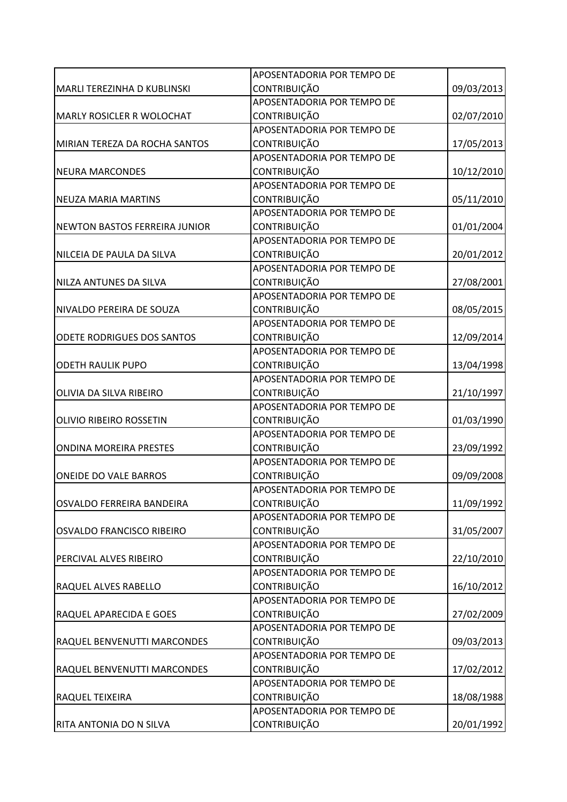|                                      | APOSENTADORIA POR TEMPO DE |            |
|--------------------------------------|----------------------------|------------|
| MARLI TEREZINHA D KUBLINSKI          | <b>CONTRIBUIÇÃO</b>        | 09/03/2013 |
|                                      | APOSENTADORIA POR TEMPO DE |            |
| MARLY ROSICLER R WOLOCHAT            | CONTRIBUIÇÃO               | 02/07/2010 |
|                                      | APOSENTADORIA POR TEMPO DE |            |
| MIRIAN TEREZA DA ROCHA SANTOS        | CONTRIBUIÇÃO               | 17/05/2013 |
|                                      | APOSENTADORIA POR TEMPO DE |            |
| <b>NEURA MARCONDES</b>               | <b>CONTRIBUIÇÃO</b>        | 10/12/2010 |
|                                      | APOSENTADORIA POR TEMPO DE |            |
| <b>NEUZA MARIA MARTINS</b>           | <b>CONTRIBUIÇÃO</b>        | 05/11/2010 |
|                                      | APOSENTADORIA POR TEMPO DE |            |
| <b>NEWTON BASTOS FERREIRA JUNIOR</b> | CONTRIBUIÇÃO               | 01/01/2004 |
|                                      | APOSENTADORIA POR TEMPO DE |            |
| NILCEIA DE PAULA DA SILVA            | CONTRIBUIÇÃO               | 20/01/2012 |
|                                      | APOSENTADORIA POR TEMPO DE |            |
| NILZA ANTUNES DA SILVA               | CONTRIBUIÇÃO               | 27/08/2001 |
|                                      | APOSENTADORIA POR TEMPO DE |            |
| NIVALDO PEREIRA DE SOUZA             | <b>CONTRIBUIÇÃO</b>        | 08/05/2015 |
|                                      | APOSENTADORIA POR TEMPO DE |            |
| ODETE RODRIGUES DOS SANTOS           | <b>CONTRIBUIÇÃO</b>        | 12/09/2014 |
|                                      | APOSENTADORIA POR TEMPO DE |            |
| <b>ODETH RAULIK PUPO</b>             | <b>CONTRIBUIÇÃO</b>        | 13/04/1998 |
|                                      | APOSENTADORIA POR TEMPO DE |            |
| OLIVIA DA SILVA RIBEIRO              | CONTRIBUIÇÃO               | 21/10/1997 |
|                                      | APOSENTADORIA POR TEMPO DE |            |
| OLIVIO RIBEIRO ROSSETIN              | CONTRIBUIÇÃO               | 01/03/1990 |
|                                      | APOSENTADORIA POR TEMPO DE |            |
| <b>ONDINA MOREIRA PRESTES</b>        | <b>CONTRIBUIÇÃO</b>        | 23/09/1992 |
|                                      | APOSENTADORIA POR TEMPO DE |            |
| <b>ONEIDE DO VALE BARROS</b>         | <b>CONTRIBUIÇÃO</b>        | 09/09/2008 |
|                                      | APOSENTADORIA POR TEMPO DE |            |
| OSVALDO FERREIRA BANDEIRA            | <b>CONTRIBUIÇÃO</b>        | 11/09/1992 |
|                                      | APOSENTADORIA POR TEMPO DE |            |
| OSVALDO FRANCISCO RIBEIRO            | <b>CONTRIBUIÇÃO</b>        | 31/05/2007 |
|                                      | APOSENTADORIA POR TEMPO DE |            |
| PERCIVAL ALVES RIBEIRO               | <b>CONTRIBUIÇÃO</b>        | 22/10/2010 |
|                                      | APOSENTADORIA POR TEMPO DE |            |
| <b>RAQUEL ALVES RABELLO</b>          | CONTRIBUIÇÃO               | 16/10/2012 |
|                                      | APOSENTADORIA POR TEMPO DE |            |
| RAQUEL APARECIDA E GOES              | <b>CONTRIBUIÇÃO</b>        | 27/02/2009 |
|                                      | APOSENTADORIA POR TEMPO DE |            |
| RAQUEL BENVENUTTI MARCONDES          | <b>CONTRIBUIÇÃO</b>        | 09/03/2013 |
|                                      | APOSENTADORIA POR TEMPO DE |            |
| RAQUEL BENVENUTTI MARCONDES          | <b>CONTRIBUIÇÃO</b>        | 17/02/2012 |
|                                      | APOSENTADORIA POR TEMPO DE |            |
| RAQUEL TEIXEIRA                      | <b>CONTRIBUIÇÃO</b>        | 18/08/1988 |
|                                      | APOSENTADORIA POR TEMPO DE |            |
| RITA ANTONIA DO N SILVA              | CONTRIBUIÇÃO               | 20/01/1992 |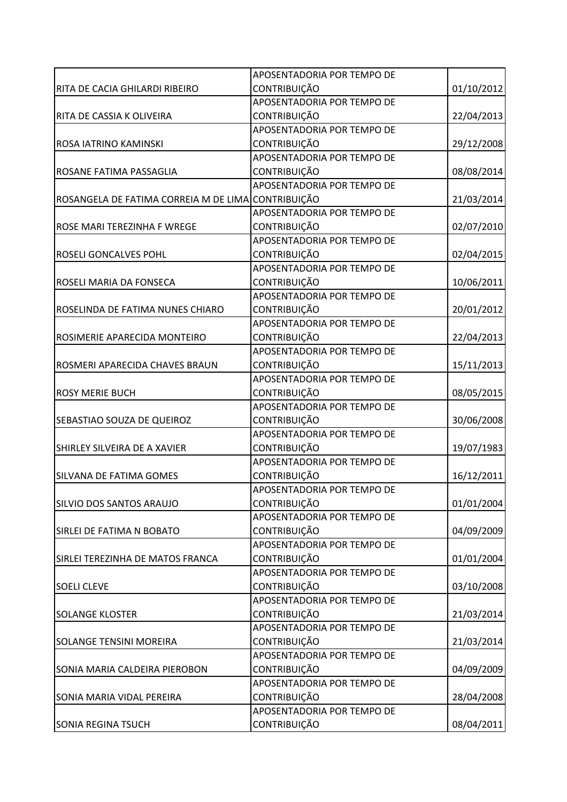|                                                    | APOSENTADORIA POR TEMPO DE |            |
|----------------------------------------------------|----------------------------|------------|
| RITA DE CACIA GHILARDI RIBEIRO                     | CONTRIBUIÇÃO               | 01/10/2012 |
|                                                    | APOSENTADORIA POR TEMPO DE |            |
| RITA DE CASSIA K OLIVEIRA                          | <b>CONTRIBUIÇÃO</b>        | 22/04/2013 |
|                                                    | APOSENTADORIA POR TEMPO DE |            |
| ROSA IATRINO KAMINSKI                              | CONTRIBUIÇÃO               | 29/12/2008 |
|                                                    | APOSENTADORIA POR TEMPO DE |            |
| ROSANE FATIMA PASSAGLIA                            | CONTRIBUIÇÃO               | 08/08/2014 |
|                                                    | APOSENTADORIA POR TEMPO DE |            |
| ROSANGELA DE FATIMA CORREIA M DE LIMA CONTRIBUIÇÃO |                            | 21/03/2014 |
|                                                    | APOSENTADORIA POR TEMPO DE |            |
| ROSE MARI TEREZINHA F WREGE                        | CONTRIBUIÇÃO               | 02/07/2010 |
|                                                    | APOSENTADORIA POR TEMPO DE |            |
| <b>ROSELI GONCALVES POHL</b>                       | CONTRIBUIÇÃO               | 02/04/2015 |
|                                                    | APOSENTADORIA POR TEMPO DE |            |
| ROSELI MARIA DA FONSECA                            | CONTRIBUIÇÃO               | 10/06/2011 |
|                                                    | APOSENTADORIA POR TEMPO DE |            |
| ROSELINDA DE FATIMA NUNES CHIARO                   | <b>CONTRIBUIÇÃO</b>        | 20/01/2012 |
|                                                    | APOSENTADORIA POR TEMPO DE |            |
| ROSIMERIE APARECIDA MONTEIRO                       | CONTRIBUIÇÃO               | 22/04/2013 |
|                                                    | APOSENTADORIA POR TEMPO DE |            |
| ROSMERI APARECIDA CHAVES BRAUN                     | CONTRIBUIÇÃO               | 15/11/2013 |
|                                                    | APOSENTADORIA POR TEMPO DE |            |
| <b>ROSY MERIE BUCH</b>                             | <b>CONTRIBUIÇÃO</b>        | 08/05/2015 |
|                                                    | APOSENTADORIA POR TEMPO DE |            |
| SEBASTIAO SOUZA DE QUEIROZ                         | CONTRIBUIÇÃO               | 30/06/2008 |
|                                                    | APOSENTADORIA POR TEMPO DE |            |
| SHIRLEY SILVEIRA DE A XAVIER                       | <b>CONTRIBUIÇÃO</b>        | 19/07/1983 |
|                                                    | APOSENTADORIA POR TEMPO DE |            |
| <b>SILVANA DE FATIMA GOMES</b>                     | <b>CONTRIBUIÇÃO</b>        | 16/12/2011 |
|                                                    | APOSENTADORIA POR TEMPO DE |            |
| <b>SILVIO DOS SANTOS ARAUJO</b>                    | CONTRIBUIÇÃO               | 01/01/2004 |
|                                                    | APOSENTADORIA POR TEMPO DE |            |
| SIRLEI DE FATIMA N BOBATO                          | <b>CONTRIBUIÇÃO</b>        | 04/09/2009 |
|                                                    | APOSENTADORIA POR TEMPO DE |            |
| SIRLEI TEREZINHA DE MATOS FRANCA                   | CONTRIBUIÇÃO               | 01/01/2004 |
|                                                    | APOSENTADORIA POR TEMPO DE |            |
| <b>SOELI CLEVE</b>                                 | CONTRIBUIÇÃO               | 03/10/2008 |
|                                                    | APOSENTADORIA POR TEMPO DE |            |
| <b>SOLANGE KLOSTER</b>                             | CONTRIBUIÇÃO               | 21/03/2014 |
|                                                    | APOSENTADORIA POR TEMPO DE |            |
| <b>SOLANGE TENSINI MOREIRA</b>                     | CONTRIBUIÇÃO               | 21/03/2014 |
|                                                    | APOSENTADORIA POR TEMPO DE |            |
| SONIA MARIA CALDEIRA PIEROBON                      | CONTRIBUIÇÃO               | 04/09/2009 |
|                                                    | APOSENTADORIA POR TEMPO DE |            |
| SONIA MARIA VIDAL PEREIRA                          | CONTRIBUIÇÃO               | 28/04/2008 |
|                                                    | APOSENTADORIA POR TEMPO DE |            |
| <b>SONIA REGINA TSUCH</b>                          | CONTRIBUIÇÃO               | 08/04/2011 |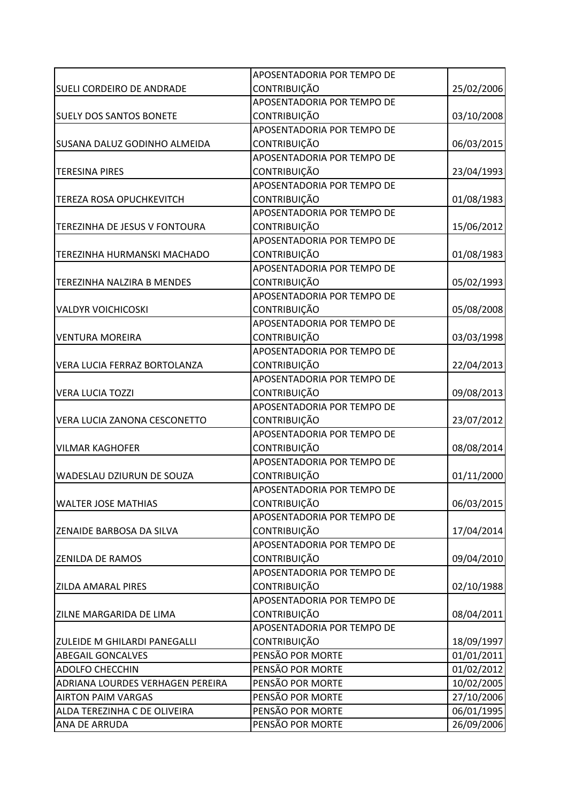|                                         | APOSENTADORIA POR TEMPO DE |            |
|-----------------------------------------|----------------------------|------------|
| SUELI CORDEIRO DE ANDRADE               | CONTRIBUIÇÃO               | 25/02/2006 |
|                                         | APOSENTADORIA POR TEMPO DE |            |
| <b>SUELY DOS SANTOS BONETE</b>          | <b>CONTRIBUIÇÃO</b>        | 03/10/2008 |
|                                         | APOSENTADORIA POR TEMPO DE |            |
| <b>SUSANA DALUZ GODINHO ALMEIDA</b>     | CONTRIBUIÇÃO               | 06/03/2015 |
|                                         | APOSENTADORIA POR TEMPO DE |            |
| <b>TERESINA PIRES</b>                   | <b>CONTRIBUIÇÃO</b>        | 23/04/1993 |
|                                         | APOSENTADORIA POR TEMPO DE |            |
| <b>TEREZA ROSA OPUCHKEVITCH</b>         | CONTRIBUIÇÃO               | 01/08/1983 |
|                                         | APOSENTADORIA POR TEMPO DE |            |
| TEREZINHA DE JESUS V FONTOURA           | CONTRIBUIÇÃO               | 15/06/2012 |
|                                         | APOSENTADORIA POR TEMPO DE |            |
| TEREZINHA HURMANSKI MACHADO             | <b>CONTRIBUIÇÃO</b>        | 01/08/1983 |
|                                         | APOSENTADORIA POR TEMPO DE |            |
| TEREZINHA NALZIRA B MENDES              | CONTRIBUIÇÃO               | 05/02/1993 |
|                                         | APOSENTADORIA POR TEMPO DE |            |
| <b>VALDYR VOICHICOSKI</b>               | <b>CONTRIBUIÇÃO</b>        | 05/08/2008 |
|                                         | APOSENTADORIA POR TEMPO DE |            |
| <b>VENTURA MOREIRA</b>                  | <b>CONTRIBUIÇÃO</b>        | 03/03/1998 |
|                                         | APOSENTADORIA POR TEMPO DE |            |
| VERA LUCIA FERRAZ BORTOLANZA            | CONTRIBUIÇÃO               | 22/04/2013 |
|                                         | APOSENTADORIA POR TEMPO DE |            |
| <b>VERA LUCIA TOZZI</b>                 | <b>CONTRIBUIÇÃO</b>        | 09/08/2013 |
|                                         | APOSENTADORIA POR TEMPO DE |            |
| VERA LUCIA ZANONA CESCONETTO            | CONTRIBUIÇÃO               | 23/07/2012 |
|                                         | APOSENTADORIA POR TEMPO DE |            |
| <b>VILMAR KAGHOFER</b>                  | <b>CONTRIBUIÇÃO</b>        | 08/08/2014 |
|                                         | APOSENTADORIA POR TEMPO DE |            |
| WADESLAU DZIURUN DE SOUZA               | CONTRIBUIÇÃO               | 01/11/2000 |
|                                         | APOSENTADORIA POR TEMPO DE |            |
| <b>WALTER JOSE MATHIAS</b>              | <b>CONTRIBUIÇÃO</b>        | 06/03/2015 |
|                                         | APOSENTADORIA POR TEMPO DE |            |
| <b>ZENAIDE BARBOSA DA SILVA</b>         | CONTRIBUIÇÃO               | 17/04/2014 |
|                                         | APOSENTADORIA POR TEMPO DE |            |
| <b>ZENILDA DE RAMOS</b>                 | CONTRIBUIÇÃO               | 09/04/2010 |
|                                         | APOSENTADORIA POR TEMPO DE |            |
| <b>ZILDA AMARAL PIRES</b>               | CONTRIBUIÇÃO               | 02/10/1988 |
|                                         | APOSENTADORIA POR TEMPO DE |            |
| <b>ZILNE MARGARIDA DE LIMA</b>          | <b>CONTRIBUIÇÃO</b>        | 08/04/2011 |
|                                         | APOSENTADORIA POR TEMPO DE |            |
| <b>ZULEIDE M GHILARDI PANEGALLI</b>     | CONTRIBUIÇÃO               | 18/09/1997 |
| <b>ABEGAIL GONCALVES</b>                | PENSÃO POR MORTE           | 01/01/2011 |
| <b>ADOLFO CHECCHIN</b>                  | PENSÃO POR MORTE           | 01/02/2012 |
| <b>ADRIANA LOURDES VERHAGEN PEREIRA</b> | PENSÃO POR MORTE           | 10/02/2005 |
| <b>AIRTON PAIM VARGAS</b>               | PENSÃO POR MORTE           | 27/10/2006 |
| ALDA TEREZINHA C DE OLIVEIRA            | PENSÃO POR MORTE           | 06/01/1995 |
| ANA DE ARRUDA                           | PENSÃO POR MORTE           | 26/09/2006 |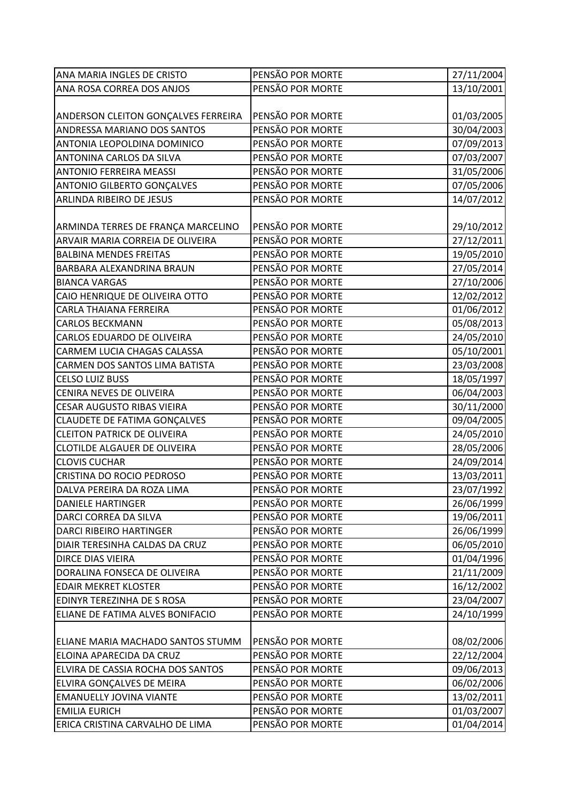| ANA MARIA INGLES DE CRISTO          | PENSÃO POR MORTE | 27/11/2004 |
|-------------------------------------|------------------|------------|
| ANA ROSA CORREA DOS ANJOS           | PENSÃO POR MORTE | 13/10/2001 |
|                                     |                  |            |
| ANDERSON CLEITON GONÇALVES FERREIRA | PENSÃO POR MORTE | 01/03/2005 |
| <b>ANDRESSA MARIANO DOS SANTOS</b>  | PENSÃO POR MORTE | 30/04/2003 |
| ANTONIA LEOPOLDINA DOMINICO         | PENSÃO POR MORTE | 07/09/2013 |
| ANTONINA CARLOS DA SILVA            | PENSÃO POR MORTE | 07/03/2007 |
| <b>ANTONIO FERREIRA MEASSI</b>      | PENSÃO POR MORTE | 31/05/2006 |
| <b>ANTONIO GILBERTO GONÇALVES</b>   | PENSÃO POR MORTE | 07/05/2006 |
| ARLINDA RIBEIRO DE JESUS            | PENSÃO POR MORTE | 14/07/2012 |
|                                     |                  |            |
| ARMINDA TERRES DE FRANÇA MARCELINO  | PENSÃO POR MORTE | 29/10/2012 |
| ARVAIR MARIA CORREIA DE OLIVEIRA    | PENSÃO POR MORTE | 27/12/2011 |
| <b>BALBINA MENDES FREITAS</b>       | PENSÃO POR MORTE | 19/05/2010 |
| BARBARA ALEXANDRINA BRAUN           | PENSÃO POR MORTE | 27/05/2014 |
| <b>BIANCA VARGAS</b>                | PENSÃO POR MORTE | 27/10/2006 |
| CAIO HENRIQUE DE OLIVEIRA OTTO      | PENSÃO POR MORTE | 12/02/2012 |
| CARLA THAIANA FERREIRA              | PENSÃO POR MORTE | 01/06/2012 |
| <b>CARLOS BECKMANN</b>              | PENSÃO POR MORTE | 05/08/2013 |
| <b>CARLOS EDUARDO DE OLIVEIRA</b>   | PENSÃO POR MORTE | 24/05/2010 |
| CARMEM LUCIA CHAGAS CALASSA         | PENSÃO POR MORTE | 05/10/2001 |
| CARMEN DOS SANTOS LIMA BATISTA      | PENSÃO POR MORTE | 23/03/2008 |
| <b>CELSO LUIZ BUSS</b>              | PENSÃO POR MORTE | 18/05/1997 |
|                                     |                  |            |
| CENIRA NEVES DE OLIVEIRA            | PENSÃO POR MORTE | 06/04/2003 |
| <b>CESAR AUGUSTO RIBAS VIEIRA</b>   | PENSÃO POR MORTE | 30/11/2000 |
| CLAUDETE DE FATIMA GONÇALVES        | PENSÃO POR MORTE | 09/04/2005 |
| <b>CLEITON PATRICK DE OLIVEIRA</b>  | PENSÃO POR MORTE | 24/05/2010 |
| CLOTILDE ALGAUER DE OLIVEIRA        | PENSÃO POR MORTE | 28/05/2006 |
| <b>CLOVIS CUCHAR</b>                | PENSÃO POR MORTE | 24/09/2014 |
| CRISTINA DO ROCIO PEDROSO           | PENSÃO POR MORTE | 13/03/2011 |
| DALVA PEREIRA DA ROZA LIMA          | PENSÃO POR MORTE | 23/07/1992 |
| <b>DANIELE HARTINGER</b>            | PENSÃO POR MORTE | 26/06/1999 |
| DARCI CORREA DA SILVA               | PENSÃO POR MORTE | 19/06/2011 |
| DARCI RIBEIRO HARTINGER             | PENSÃO POR MORTE | 26/06/1999 |
| DIAIR TERESINHA CALDAS DA CRUZ      | PENSÃO POR MORTE | 06/05/2010 |
| DIRCE DIAS VIEIRA                   | PENSÃO POR MORTE | 01/04/1996 |
| DORALINA FONSECA DE OLIVEIRA        | PENSÃO POR MORTE | 21/11/2009 |
| <b>EDAIR MEKRET KLOSTER</b>         | PENSÃO POR MORTE | 16/12/2002 |
| EDINYR TEREZINHA DE S ROSA          | PENSÃO POR MORTE | 23/04/2007 |
| ELIANE DE FATIMA ALVES BONIFACIO    | PENSÃO POR MORTE | 24/10/1999 |
|                                     |                  |            |
| ELIANE MARIA MACHADO SANTOS STUMM   | PENSÃO POR MORTE | 08/02/2006 |
| ELOINA APARECIDA DA CRUZ            | PENSÃO POR MORTE | 22/12/2004 |
| ELVIRA DE CASSIA ROCHA DOS SANTOS   | PENSÃO POR MORTE | 09/06/2013 |
| ELVIRA GONÇALVES DE MEIRA           | PENSÃO POR MORTE | 06/02/2006 |
| <b>EMANUELLY JOVINA VIANTE</b>      | PENSÃO POR MORTE | 13/02/2011 |
| <b>EMILIA EURICH</b>                | PENSÃO POR MORTE | 01/03/2007 |
| ERICA CRISTINA CARVALHO DE LIMA     | PENSÃO POR MORTE | 01/04/2014 |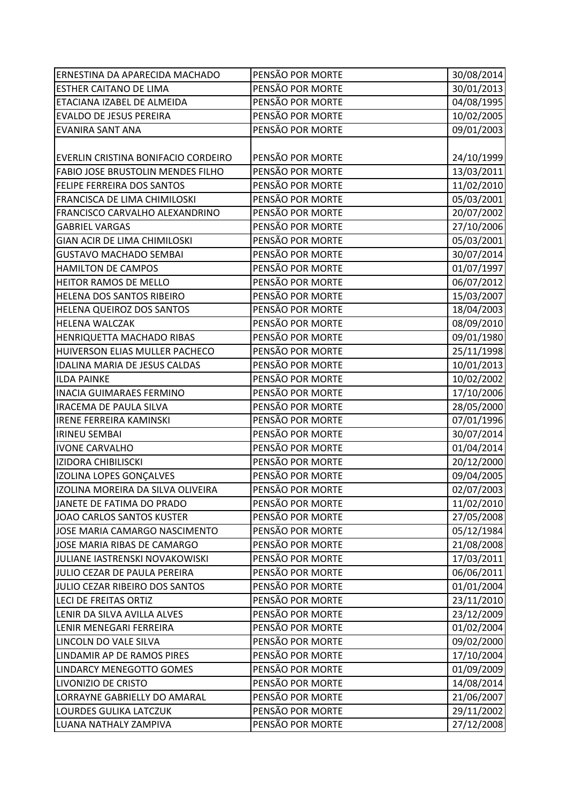| ERNESTINA DA APARECIDA MACHADO      | PENSÃO POR MORTE | 30/08/2014 |
|-------------------------------------|------------------|------------|
| <b>ESTHER CAITANO DE LIMA</b>       | PENSÃO POR MORTE | 30/01/2013 |
| ETACIANA IZABEL DE ALMEIDA          | PENSÃO POR MORTE | 04/08/1995 |
| <b>EVALDO DE JESUS PEREIRA</b>      | PENSÃO POR MORTE | 10/02/2005 |
| <b>EVANIRA SANT ANA</b>             | PENSÃO POR MORTE | 09/01/2003 |
|                                     |                  |            |
| EVERLIN CRISTINA BONIFACIO CORDEIRO | PENSÃO POR MORTE | 24/10/1999 |
| FABIO JOSE BRUSTOLIN MENDES FILHO   | PENSÃO POR MORTE | 13/03/2011 |
| FELIPE FERREIRA DOS SANTOS          | PENSÃO POR MORTE | 11/02/2010 |
| FRANCISCA DE LIMA CHIMILOSKI        | PENSÃO POR MORTE | 05/03/2001 |
| FRANCISCO CARVALHO ALEXANDRINO      | PENSÃO POR MORTE | 20/07/2002 |
| <b>GABRIEL VARGAS</b>               | PENSÃO POR MORTE | 27/10/2006 |
| <b>GIAN ACIR DE LIMA CHIMILOSKI</b> | PENSÃO POR MORTE | 05/03/2001 |
| <b>GUSTAVO MACHADO SEMBAI</b>       | PENSÃO POR MORTE | 30/07/2014 |
| HAMILTON DE CAMPOS                  | PENSÃO POR MORTE | 01/07/1997 |
| HEITOR RAMOS DE MELLO               | PENSÃO POR MORTE | 06/07/2012 |
| HELENA DOS SANTOS RIBEIRO           | PENSÃO POR MORTE | 15/03/2007 |
| HELENA QUEIROZ DOS SANTOS           | PENSÃO POR MORTE | 18/04/2003 |
| <b>HELENA WALCZAK</b>               | PENSÃO POR MORTE | 08/09/2010 |
| HENRIQUETTA MACHADO RIBAS           | PENSÃO POR MORTE | 09/01/1980 |
| HUIVERSON ELIAS MULLER PACHECO      | PENSÃO POR MORTE | 25/11/1998 |
| IDALINA MARIA DE JESUS CALDAS       | PENSÃO POR MORTE | 10/01/2013 |
| <b>ILDA PAINKE</b>                  | PENSÃO POR MORTE | 10/02/2002 |
| <b>INACIA GUIMARAES FERMINO</b>     | PENSÃO POR MORTE | 17/10/2006 |
| <b>IRACEMA DE PAULA SILVA</b>       | PENSÃO POR MORTE | 28/05/2000 |
| <b>IRENE FERREIRA KAMINSKI</b>      | PENSÃO POR MORTE | 07/01/1996 |
| <b>IRINEU SEMBAI</b>                | PENSÃO POR MORTE | 30/07/2014 |
| <b>IVONE CARVALHO</b>               | PENSÃO POR MORTE | 01/04/2014 |
| <b>IZIDORA CHIBILISCKI</b>          | PENSÃO POR MORTE | 20/12/2000 |
| IZOLINA LOPES GONÇALVES             | PENSÃO POR MORTE | 09/04/2005 |
| IZOLINA MOREIRA DA SILVA OLIVEIRA   | PENSÃO POR MORTE | 02/07/2003 |
| JANETE DE FATIMA DO PRADO           | PENSÃO POR MORTE | 11/02/2010 |
| JOAO CARLOS SANTOS KUSTER           | PENSÃO POR MORTE | 27/05/2008 |
| JOSE MARIA CAMARGO NASCIMENTO       | PENSÃO POR MORTE | 05/12/1984 |
| JOSE MARIA RIBAS DE CAMARGO         | PENSÃO POR MORTE | 21/08/2008 |
| JULIANE IASTRENSKI NOVAKOWISKI      | PENSÃO POR MORTE | 17/03/2011 |
| JULIO CEZAR DE PAULA PEREIRA        | PENSÃO POR MORTE | 06/06/2011 |
| JULIO CEZAR RIBEIRO DOS SANTOS      | PENSÃO POR MORTE | 01/01/2004 |
| <b>LECI DE FREITAS ORTIZ</b>        | PENSÃO POR MORTE | 23/11/2010 |
| LENIR DA SILVA AVILLA ALVES         | PENSÃO POR MORTE | 23/12/2009 |
| LENIR MENEGARI FERREIRA             | PENSÃO POR MORTE | 01/02/2004 |
| LINCOLN DO VALE SILVA               | PENSÃO POR MORTE | 09/02/2000 |
| LINDAMIR AP DE RAMOS PIRES          | PENSÃO POR MORTE | 17/10/2004 |
| LINDARCY MENEGOTTO GOMES            | PENSÃO POR MORTE | 01/09/2009 |
| LIVONIZIO DE CRISTO                 | PENSÃO POR MORTE | 14/08/2014 |
| LORRAYNE GABRIELLY DO AMARAL        | PENSÃO POR MORTE | 21/06/2007 |
| LOURDES GULIKA LATCZUK              | PENSÃO POR MORTE | 29/11/2002 |
| LUANA NATHALY ZAMPIVA               | PENSÃO POR MORTE | 27/12/2008 |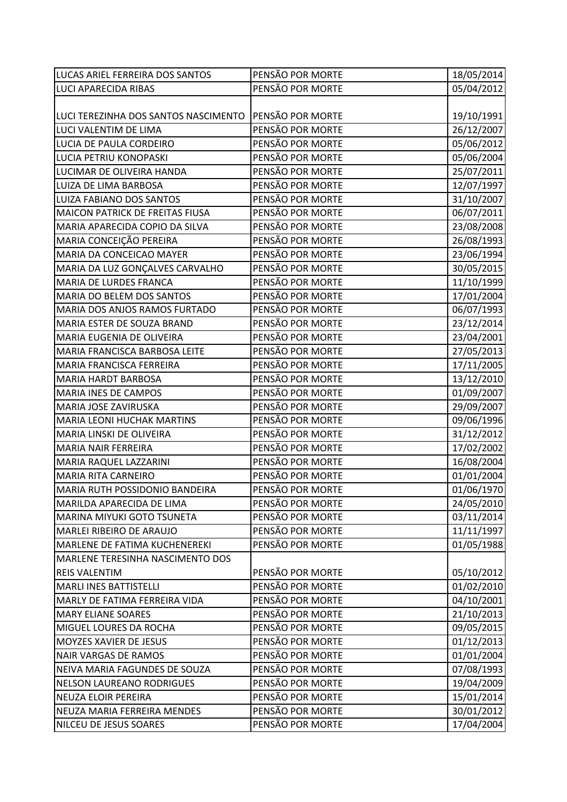| LUCAS ARIEL FERREIRA DOS SANTOS         | PENSÃO POR MORTE | 18/05/2014 |
|-----------------------------------------|------------------|------------|
| <b>LUCI APARECIDA RIBAS</b>             | PENSÃO POR MORTE | 05/04/2012 |
|                                         |                  |            |
| LUCI TEREZINHA DOS SANTOS NASCIMENTO    | PENSÃO POR MORTE | 19/10/1991 |
| LUCI VALENTIM DE LIMA                   | PENSÃO POR MORTE | 26/12/2007 |
| LUCIA DE PAULA CORDEIRO                 | PENSÃO POR MORTE | 05/06/2012 |
| LUCIA PETRIU KONOPASKI                  | PENSÃO POR MORTE | 05/06/2004 |
| LUCIMAR DE OLIVEIRA HANDA               | PENSÃO POR MORTE | 25/07/2011 |
| LUIZA DE LIMA BARBOSA                   | PENSÃO POR MORTE | 12/07/1997 |
| LUIZA FABIANO DOS SANTOS                | PENSÃO POR MORTE | 31/10/2007 |
| MAICON PATRICK DE FREITAS FIUSA         | PENSÃO POR MORTE | 06/07/2011 |
| MARIA APARECIDA COPIO DA SILVA          | PENSÃO POR MORTE | 23/08/2008 |
| MARIA CONCEIÇÃO PEREIRA                 | PENSÃO POR MORTE | 26/08/1993 |
| MARIA DA CONCEICAO MAYER                | PENSÃO POR MORTE | 23/06/1994 |
| MARIA DA LUZ GONÇALVES CARVALHO         | PENSÃO POR MORTE | 30/05/2015 |
| MARIA DE LURDES FRANCA                  | PENSÃO POR MORTE | 11/10/1999 |
| MARIA DO BELEM DOS SANTOS               | PENSÃO POR MORTE | 17/01/2004 |
| MARIA DOS ANJOS RAMOS FURTADO           | PENSÃO POR MORTE | 06/07/1993 |
| MARIA ESTER DE SOUZA BRAND              | PENSÃO POR MORTE | 23/12/2014 |
| MARIA EUGENIA DE OLIVEIRA               | PENSÃO POR MORTE | 23/04/2001 |
| MARIA FRANCISCA BARBOSA LEITE           | PENSÃO POR MORTE | 27/05/2013 |
| MARIA FRANCISCA FERREIRA                | PENSÃO POR MORTE | 17/11/2005 |
| <b>MARIA HARDT BARBOSA</b>              | PENSÃO POR MORTE | 13/12/2010 |
| <b>MARIA INES DE CAMPOS</b>             | PENSÃO POR MORTE | 01/09/2007 |
| MARIA JOSE ZAVIRUSKA                    | PENSÃO POR MORTE | 29/09/2007 |
| <b>MARIA LEONI HUCHAK MARTINS</b>       | PENSÃO POR MORTE | 09/06/1996 |
| MARIA LINSKI DE OLIVEIRA                | PENSÃO POR MORTE | 31/12/2012 |
| <b>MARIA NAIR FERREIRA</b>              | PENSÃO POR MORTE | 17/02/2002 |
| <b>MARIA RAQUEL LAZZARINI</b>           | PENSÃO POR MORTE | 16/08/2004 |
| MARIA RITA CARNEIRO                     | PENSÃO POR MORTE | 01/01/2004 |
| MARIA RUTH POSSIDONIO BANDEIRA          | PENSÃO POR MORTE | 01/06/1970 |
| MARILDA APARECIDA DE LIMA               | PENSÃO POR MORTE | 24/05/2010 |
| <b>MARINA MIYUKI GOTO TSUNETA</b>       | PENSÃO POR MORTE | 03/11/2014 |
| MARLEI RIBEIRO DE ARAUJO                | PENSÃO POR MORTE | 11/11/1997 |
| MARLENE DE FATIMA KUCHENEREKI           | PENSÃO POR MORTE | 01/05/1988 |
| <b>MARLENE TERESINHA NASCIMENTO DOS</b> |                  |            |
| <b>REIS VALENTIM</b>                    | PENSÃO POR MORTE | 05/10/2012 |
| <b>MARLI INES BATTISTELLI</b>           | PENSÃO POR MORTE | 01/02/2010 |
| MARLY DE FATIMA FERREIRA VIDA           | PENSÃO POR MORTE | 04/10/2001 |
| <b>MARY ELIANE SOARES</b>               | PENSÃO POR MORTE | 21/10/2013 |
| MIGUEL LOURES DA ROCHA                  | PENSÃO POR MORTE | 09/05/2015 |
| MOYZES XAVIER DE JESUS                  | PENSÃO POR MORTE | 01/12/2013 |
| <b>NAIR VARGAS DE RAMOS</b>             | PENSÃO POR MORTE | 01/01/2004 |
| NEIVA MARIA FAGUNDES DE SOUZA           | PENSÃO POR MORTE | 07/08/1993 |
| <b>NELSON LAUREANO RODRIGUES</b>        | PENSÃO POR MORTE | 19/04/2009 |
| <b>NEUZA ELOIR PEREIRA</b>              | PENSÃO POR MORTE | 15/01/2014 |
| NEUZA MARIA FERREIRA MENDES             | PENSÃO POR MORTE | 30/01/2012 |
| NILCEU DE JESUS SOARES                  | PENSÃO POR MORTE | 17/04/2004 |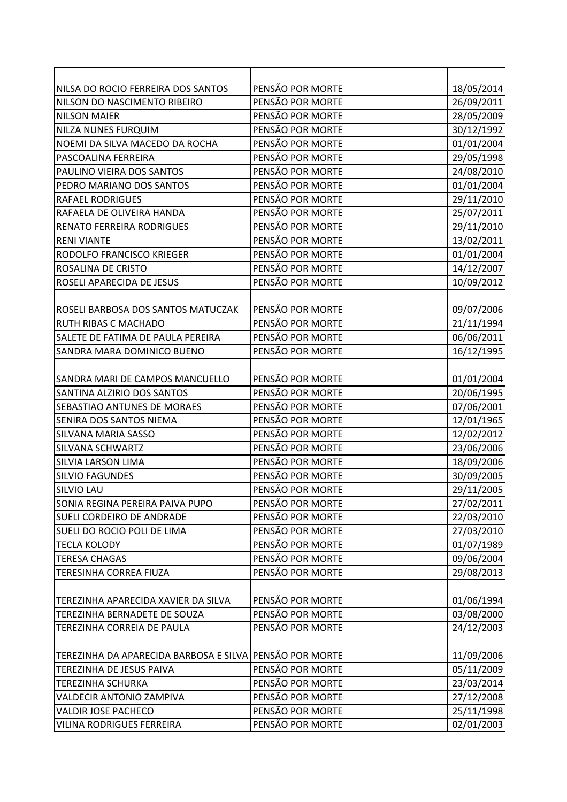| NILSA DO ROCIO FERREIRA DOS SANTOS                      | PENSÃO POR MORTE | 18/05/2014 |
|---------------------------------------------------------|------------------|------------|
| NILSON DO NASCIMENTO RIBEIRO                            | PENSÃO POR MORTE | 26/09/2011 |
| <b>NILSON MAIER</b>                                     | PENSÃO POR MORTE | 28/05/2009 |
| NILZA NUNES FURQUIM                                     | PENSÃO POR MORTE | 30/12/1992 |
| NOEMI DA SILVA MACEDO DA ROCHA                          | PENSÃO POR MORTE | 01/01/2004 |
| PASCOALINA FERREIRA                                     | PENSÃO POR MORTE | 29/05/1998 |
| PAULINO VIEIRA DOS SANTOS                               | PENSÃO POR MORTE | 24/08/2010 |
| PEDRO MARIANO DOS SANTOS                                | PENSÃO POR MORTE | 01/01/2004 |
| <b>RAFAEL RODRIGUES</b>                                 | PENSÃO POR MORTE | 29/11/2010 |
| RAFAELA DE OLIVEIRA HANDA                               | PENSÃO POR MORTE | 25/07/2011 |
| <b>RENATO FERREIRA RODRIGUES</b>                        | PENSÃO POR MORTE | 29/11/2010 |
| <b>RENI VIANTE</b>                                      | PENSÃO POR MORTE | 13/02/2011 |
| RODOLFO FRANCISCO KRIEGER                               | PENSÃO POR MORTE | 01/01/2004 |
| ROSALINA DE CRISTO                                      | PENSÃO POR MORTE | 14/12/2007 |
| ROSELI APARECIDA DE JESUS                               | PENSÃO POR MORTE | 10/09/2012 |
|                                                         |                  |            |
| ROSELI BARBOSA DOS SANTOS MATUCZAK                      | PENSÃO POR MORTE | 09/07/2006 |
| RUTH RIBAS C MACHADO                                    | PENSÃO POR MORTE | 21/11/1994 |
| SALETE DE FATIMA DE PAULA PEREIRA                       | PENSÃO POR MORTE | 06/06/2011 |
| SANDRA MARA DOMINICO BUENO                              | PENSÃO POR MORTE | 16/12/1995 |
|                                                         |                  |            |
| SANDRA MARI DE CAMPOS MANCUELLO                         | PENSÃO POR MORTE | 01/01/2004 |
| SANTINA ALZIRIO DOS SANTOS                              | PENSÃO POR MORTE | 20/06/1995 |
| SEBASTIAO ANTUNES DE MORAES                             | PENSÃO POR MORTE | 07/06/2001 |
| SENIRA DOS SANTOS NIEMA                                 | PENSÃO POR MORTE | 12/01/1965 |
| SILVANA MARIA SASSO                                     | PENSÃO POR MORTE | 12/02/2012 |
| SILVANA SCHWARTZ                                        | PENSÃO POR MORTE | 23/06/2006 |
| <b>SILVIA LARSON LIMA</b>                               | PENSÃO POR MORTE | 18/09/2006 |
| <b>SILVIO FAGUNDES</b>                                  | PENSÃO POR MORTE | 30/09/2005 |
| <b>SILVIO LAU</b>                                       | PENSÃO POR MORTE | 29/11/2005 |
| SONIA REGINA PEREIRA PAIVA PUPO                         | PENSÃO POR MORTE | 27/02/2011 |
| SUELI CORDEIRO DE ANDRADE                               | PENSÃO POR MORTE | 22/03/2010 |
| SUELI DO ROCIO POLI DE LIMA                             | PENSÃO POR MORTE | 27/03/2010 |
| <b>TECLA KOLODY</b>                                     | PENSÃO POR MORTE | 01/07/1989 |
| <b>TERESA CHAGAS</b>                                    | PENSÃO POR MORTE | 09/06/2004 |
| TERESINHA CORREA FIUZA                                  | PENSÃO POR MORTE | 29/08/2013 |
|                                                         |                  |            |
| TEREZINHA APARECIDA XAVIER DA SILVA                     | PENSÃO POR MORTE | 01/06/1994 |
| TEREZINHA BERNADETE DE SOUZA                            | PENSÃO POR MORTE | 03/08/2000 |
| TEREZINHA CORREIA DE PAULA                              | PENSÃO POR MORTE | 24/12/2003 |
|                                                         |                  |            |
| TEREZINHA DA APARECIDA BARBOSA E SILVA PENSÃO POR MORTE |                  | 11/09/2006 |
| TEREZINHA DE JESUS PAIVA                                | PENSÃO POR MORTE | 05/11/2009 |
| <b>TEREZINHA SCHURKA</b>                                | PENSÃO POR MORTE | 23/03/2014 |
| <b>VALDECIR ANTONIO ZAMPIVA</b>                         | PENSÃO POR MORTE | 27/12/2008 |
| <b>VALDIR JOSE PACHECO</b>                              | PENSÃO POR MORTE | 25/11/1998 |
| <b>VILINA RODRIGUES FERREIRA</b>                        | PENSÃO POR MORTE | 02/01/2003 |